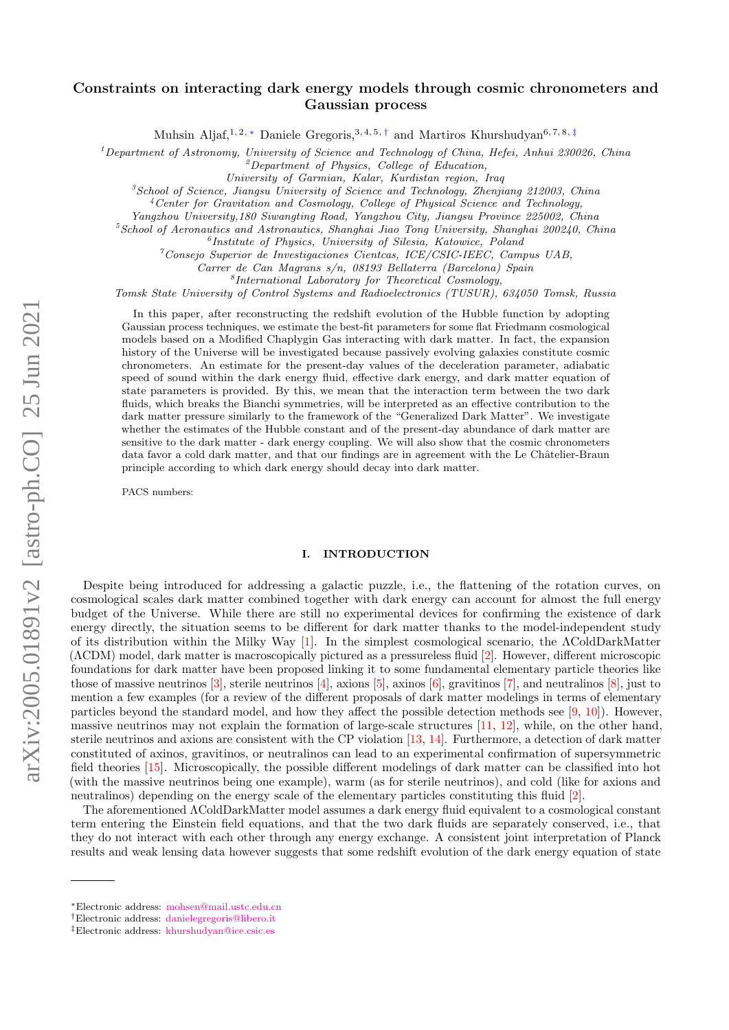# Constraints on interacting dark energy models through cosmic chronometers and Gaussian process

Muhsin Aljaf,<sup>1, 2, \*</sup> Daniele Gregoris,<sup>3, 4, 5, [†](#page-0-1)</sup> and Martiros Khurshudyan<sup>6, 7, 8, [‡](#page-0-2)</sup>

 $1$ Department of Astronomy, University of Science and Technology of China, Hefei, Anhui 230026, China

 $2D$ epartment of Physics, College of Education,

University of Garmian, Kalar, Kurdistan region, Iraq

 ${}^{3}$ School of Science, Jiangsu University of Science and Technology, Zhenjiang 212003, China

 $4$ Center for Gravitation and Cosmology, College of Physical Science and Technology,

Yangzhou University,180 Siwangting Road, Yangzhou City, Jiangsu Province 225002, China

 $5$ School of Aeronautics and Astronautics, Shanghai Jiao Tong University, Shanghai 200240, China

6 Institute of Physics, University of Silesia, Katowice, Poland

 $^7$ Consejo Superior de Investigaciones Cientcas, ICE/CSIC-IEEC, Campus UAB,

Carrer de Can Magrans s/n, 08193 Bellaterra (Barcelona) Spain

8 International Laboratory for Theoretical Cosmology,

Tomsk State University of Control Systems and Radioelectronics (TUSUR), 634050 Tomsk, Russia

In this paper, after reconstructing the redshift evolution of the Hubble function by adopting Gaussian process techniques, we estimate the best-fit parameters for some flat Friedmann cosmological models based on a Modified Chaplygin Gas interacting with dark matter. In fact, the expansion history of the Universe will be investigated because passively evolving galaxies constitute cosmic chronometers. An estimate for the present-day values of the deceleration parameter, adiabatic speed of sound within the dark energy fluid, effective dark energy, and dark matter equation of state parameters is provided. By this, we mean that the interaction term between the two dark fluids, which breaks the Bianchi symmetries, will be interpreted as an effective contribution to the dark matter pressure similarly to the framework of the "Generalized Dark Matter". We investigate whether the estimates of the Hubble constant and of the present-day abundance of dark matter are sensitive to the dark matter - dark energy coupling. We will also show that the cosmic chronometers data favor a cold dark matter, and that our findings are in agreement with the Le Châtelier-Braun principle according to which dark energy should decay into dark matter.

PACS numbers:

# I. INTRODUCTION

Despite being introduced for addressing a galactic puzzle, i.e., the flattening of the rotation curves, on cosmological scales dark matter combined together with dark energy can account for almost the full energy budget of the Universe. While there are still no experimental devices for confirming the existence of dark energy directly, the situation seems to be different for dark matter thanks to the model-independent study of its distribution within the Milky Way [\[1\]](#page-11-0). In the simplest cosmological scenario, the ΛColdDarkMatter (ΛCDM) model, dark matter is macroscopically pictured as a pressureless fluid [\[2\]](#page-11-1). However, different microscopic foundations for dark matter have been proposed linking it to some fundamental elementary particle theories like those of massive neutrinos  $[3]$ , sterile neutrinos  $[4]$ , axions  $[5]$ , axinos  $[6]$ , gravitinos  $[7]$ , and neutralinos  $[8]$ , just to mention a few examples (for a review of the different proposals of dark matter modelings in terms of elementary particles beyond the standard model, and how they affect the possible detection methods see [\[9,](#page-11-8) [10\]](#page-11-9)). However, massive neutrinos may not explain the formation of large-scale structures [\[11,](#page-11-10) [12\]](#page-11-11), while, on the other hand, sterile neutrinos and axions are consistent with the CP violation [\[13,](#page-11-12) [14\]](#page-11-13). Furthermore, a detection of dark matter constituted of axinos, gravitinos, or neutralinos can lead to an experimental confirmation of supersymmetric field theories [\[15\]](#page-11-14). Microscopically, the possible different modelings of dark matter can be classified into hot (with the massive neutrinos being one example), warm (as for sterile neutrinos), and cold (like for axions and neutralinos) depending on the energy scale of the elementary particles constituting this fluid [\[2\]](#page-11-1).

The aforementioned ΛColdDarkMatter model assumes a dark energy fluid equivalent to a cosmological constant term entering the Einstein field equations, and that the two dark fluids are separately conserved, i.e., that they do not interact with each other through any energy exchange. A consistent joint interpretation of Planck results and weak lensing data however suggests that some redshift evolution of the dark energy equation of state

<span id="page-0-0"></span><sup>∗</sup>Electronic address: [mohsen@mail.ustc.edu.cn](mailto:mohsen@mail.ustc.edu.cn)

<span id="page-0-1"></span><sup>†</sup>Electronic address: [danielegregoris@libero.it](mailto:danielegregoris@libero.it)

<span id="page-0-2"></span><sup>‡</sup>Electronic address: [khurshudyan@ice.csic.es](mailto:khurshudyan@ice.csic.es)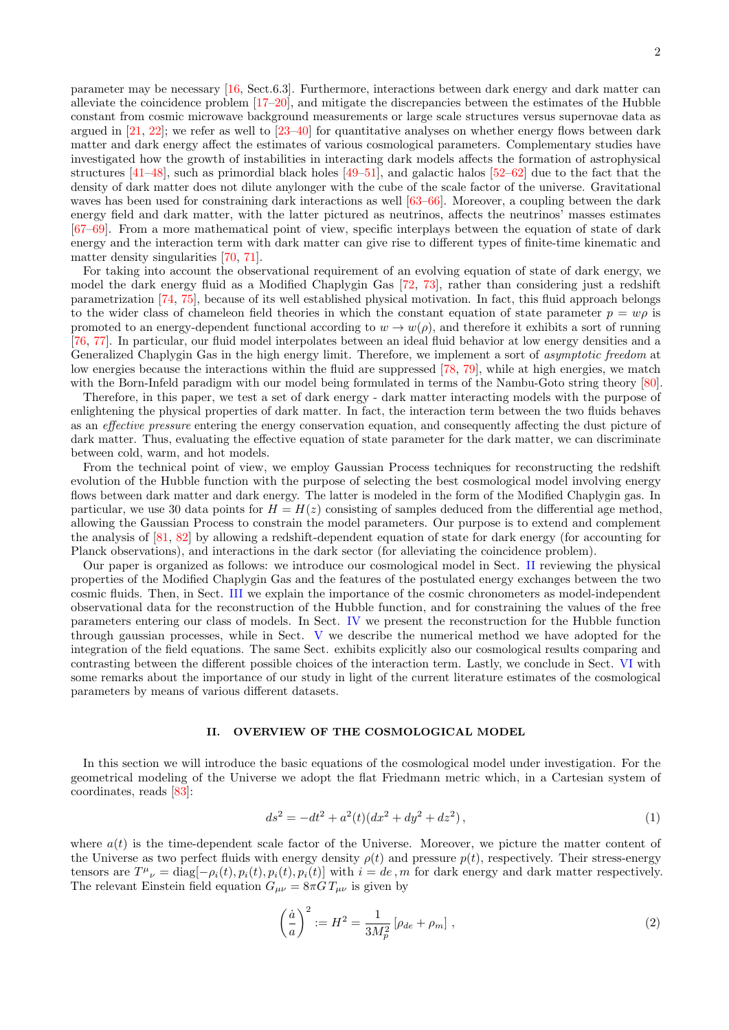parameter may be necessary [\[16,](#page-11-15) Sect.6.3]. Furthermore, interactions between dark energy and dark matter can alleviate the coincidence problem [\[17](#page-11-16)[–20\]](#page-11-17), and mitigate the discrepancies between the estimates of the Hubble constant from cosmic microwave background measurements or large scale structures versus supernovae data as argued in  $[21, 22]$  $[21, 22]$  $[21, 22]$ ; we refer as well to  $[23–40]$  $[23–40]$  for quantitative analyses on whether energy flows between dark matter and dark energy affect the estimates of various cosmological parameters. Complementary studies have investigated how the growth of instabilities in interacting dark models affects the formation of astrophysical structures  $[41-48]$  $[41-48]$ , such as primordial black holes  $[49-51]$  $[49-51]$ , and galactic halos  $[52-62]$  $[52-62]$  due to the fact that the density of dark matter does not dilute anylonger with the cube of the scale factor of the universe. Gravitational waves has been used for constraining dark interactions as well [\[63–](#page-12-7)[66\]](#page-13-0). Moreover, a coupling between the dark energy field and dark matter, with the latter pictured as neutrinos, affects the neutrinos' masses estimates [\[67–](#page-13-1)[69\]](#page-13-2). From a more mathematical point of view, specific interplays between the equation of state of dark energy and the interaction term with dark matter can give rise to different types of finite-time kinematic and matter density singularities [\[70,](#page-13-3) [71\]](#page-13-4).

For taking into account the observational requirement of an evolving equation of state of dark energy, we model the dark energy fluid as a Modified Chaplygin Gas [\[72,](#page-13-5) [73\]](#page-13-6), rather than considering just a redshift parametrization [\[74,](#page-13-7) [75\]](#page-13-8), because of its well established physical motivation. In fact, this fluid approach belongs to the wider class of chameleon field theories in which the constant equation of state parameter  $p = w\rho$  is promoted to an energy-dependent functional according to  $w \to w(\rho)$ , and therefore it exhibits a sort of running [\[76,](#page-13-9) [77\]](#page-13-10). In particular, our fluid model interpolates between an ideal fluid behavior at low energy densities and a Generalized Chaplygin Gas in the high energy limit. Therefore, we implement a sort of asymptotic freedom at low energies because the interactions within the fluid are suppressed [\[78,](#page-13-11) [79\]](#page-13-12), while at high energies, we match with the Born-Infeld paradigm with our model being formulated in terms of the Nambu-Goto string theory [\[80\]](#page-13-13).

Therefore, in this paper, we test a set of dark energy - dark matter interacting models with the purpose of enlightening the physical properties of dark matter. In fact, the interaction term between the two fluids behaves as an *effective pressure* entering the energy conservation equation, and consequently affecting the dust picture of dark matter. Thus, evaluating the effective equation of state parameter for the dark matter, we can discriminate between cold, warm, and hot models.

From the technical point of view, we employ Gaussian Process techniques for reconstructing the redshift evolution of the Hubble function with the purpose of selecting the best cosmological model involving energy flows between dark matter and dark energy. The latter is modeled in the form of the Modified Chaplygin gas. In particular, we use 30 data points for  $H = H(z)$  consisting of samples deduced from the differential age method, allowing the Gaussian Process to constrain the model parameters. Our purpose is to extend and complement the analysis of  $[81, 82]$  $[81, 82]$  $[81, 82]$  by allowing a redshift-dependent equation of state for dark energy (for accounting for Planck observations), and interactions in the dark sector (for alleviating the coincidence problem).

Our paper is organized as follows: we introduce our cosmological model in Sect. [II](#page-1-0) reviewing the physical properties of the Modified Chaplygin Gas and the features of the postulated energy exchanges between the two cosmic fluids. Then, in Sect. [III](#page-4-0) we explain the importance of the cosmic chronometers as model-independent observational data for the reconstruction of the Hubble function, and for constraining the values of the free parameters entering our class of models. In Sect. [IV](#page-5-0) we present the reconstruction for the Hubble function through gaussian processes, while in Sect. [V](#page-6-0) we describe the numerical method we have adopted for the integration of the field equations. The same Sect. exhibits explicitly also our cosmological results comparing and contrasting between the different possible choices of the interaction term. Lastly, we conclude in Sect. [VI](#page-10-0) with some remarks about the importance of our study in light of the current literature estimates of the cosmological parameters by means of various different datasets.

### <span id="page-1-0"></span>II. OVERVIEW OF THE COSMOLOGICAL MODEL

In this section we will introduce the basic equations of the cosmological model under investigation. For the geometrical modeling of the Universe we adopt the flat Friedmann metric which, in a Cartesian system of coordinates, reads [\[83\]](#page-13-16):

$$
ds^{2} = -dt^{2} + a^{2}(t)(dx^{2} + dy^{2} + dz^{2}),
$$
\n(1)

where  $a(t)$  is the time-dependent scale factor of the Universe. Moreover, we picture the matter content of the Universe as two perfect fluids with energy density  $\rho(t)$  and pressure  $p(t)$ , respectively. Their stress-energy tensors are  $T^{\mu}{}_{\nu} = \text{diag}[-\rho_i(t), p_i(t), p_i(t), p_i(t)]$  with  $i = de, m$  for dark energy and dark matter respectively. The relevant Einstein field equation  $G_{\mu\nu} = 8\pi G T_{\mu\nu}$  is given by

<span id="page-1-1"></span>
$$
\left(\frac{\dot{a}}{a}\right)^2 := H^2 = \frac{1}{3M_p^2} \left[\rho_{de} + \rho_m\right],\tag{2}
$$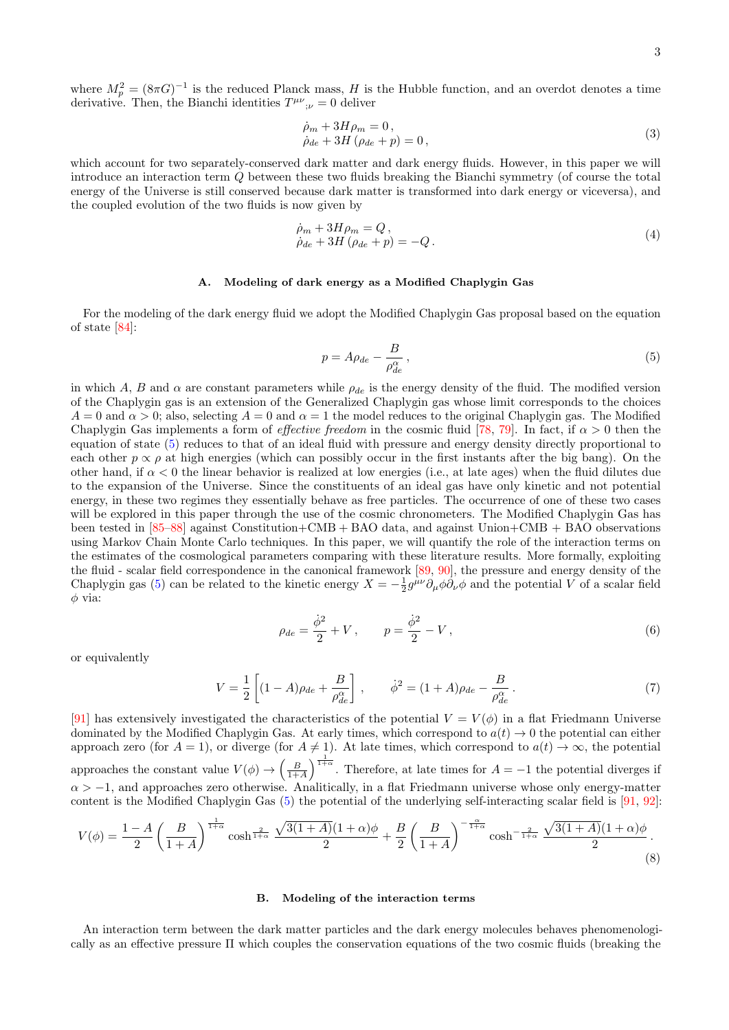where  $M_p^2 = (8\pi G)^{-1}$  is the reduced Planck mass, H is the Hubble function, and an overdot denotes a time derivative. Then, the Bianchi identities  $T^{\mu\nu}{}_{;\nu} = 0$  deliver

$$
\dot{\rho}_m + 3H\rho_m = 0,
$$
  
\n
$$
\dot{\rho}_{de} + 3H(\rho_{de} + p) = 0,
$$
\n(3)

which account for two separately-conserved dark matter and dark energy fluids. However, in this paper we will introduce an interaction term Q between these two fluids breaking the Bianchi symmetry (of course the total energy of the Universe is still conserved because dark matter is transformed into dark energy or viceversa), and the coupled evolution of the two fluids is now given by

<span id="page-2-1"></span>
$$
\dot{\rho}_m + 3H\rho_m = Q,
$$
  
\n
$$
\dot{\rho}_{de} + 3H(\rho_{de} + p) = -Q.
$$
\n(4)

#### A. Modeling of dark energy as a Modified Chaplygin Gas

For the modeling of the dark energy fluid we adopt the Modified Chaplygin Gas proposal based on the equation of state [\[84\]](#page-13-17):

<span id="page-2-0"></span>
$$
p = A\rho_{de} - \frac{B}{\rho_{de}^{\alpha}},\tag{5}
$$

in which A, B and  $\alpha$  are constant parameters while  $\rho_{de}$  is the energy density of the fluid. The modified version of the Chaplygin gas is an extension of the Generalized Chaplygin gas whose limit corresponds to the choices  $A = 0$  and  $\alpha > 0$ ; also, selecting  $A = 0$  and  $\alpha = 1$  the model reduces to the original Chaplygin gas. The Modified Chaplygin Gas implements a form of *effective freedom* in the cosmic fluid [\[78,](#page-13-11) [79\]](#page-13-12). In fact, if  $\alpha > 0$  then the equation of state [\(5\)](#page-2-0) reduces to that of an ideal fluid with pressure and energy density directly proportional to each other  $p \propto \rho$  at high energies (which can possibly occur in the first instants after the big bang). On the other hand, if  $\alpha < 0$  the linear behavior is realized at low energies (i.e., at late ages) when the fluid dilutes due to the expansion of the Universe. Since the constituents of an ideal gas have only kinetic and not potential energy, in these two regimes they essentially behave as free particles. The occurrence of one of these two cases will be explored in this paper through the use of the cosmic chronometers. The Modified Chaplygin Gas has been tested in [\[85](#page-13-18)[–88\]](#page-13-19) against Constitution+CMB + BAO data, and against Union+CMB + BAO observations using Markov Chain Monte Carlo techniques. In this paper, we will quantify the role of the interaction terms on the estimates of the cosmological parameters comparing with these literature results. More formally, exploiting the fluid - scalar field correspondence in the canonical framework [\[89,](#page-13-20) [90\]](#page-13-21), the pressure and energy density of the Chaplygin gas [\(5\)](#page-2-0) can be related to the kinetic energy  $X = -\frac{1}{2}g^{\mu\nu}\partial_{\mu}\phi\partial_{\nu}\phi$  and the potential V of a scalar field  $\phi$  via:

$$
\rho_{de} = \frac{\dot{\phi}^2}{2} + V, \qquad p = \frac{\dot{\phi}^2}{2} - V,
$$
\n(6)

or equivalently

$$
V = \frac{1}{2} \left[ (1 - A)\rho_{de} + \frac{B}{\rho_{de}^{\alpha}} \right], \qquad \dot{\phi}^{2} = (1 + A)\rho_{de} - \frac{B}{\rho_{de}^{\alpha}}.
$$
 (7)

[\[91\]](#page-13-22) has extensively investigated the characteristics of the potential  $V = V(\phi)$  in a flat Friedmann Universe dominated by the Modified Chaplygin Gas. At early times, which correspond to  $a(t) \rightarrow 0$  the potential can either approach zero (for  $A = 1$ ), or diverge (for  $A \neq 1$ ). At late times, which correspond to  $a(t) \to \infty$ , the potential approaches the constant value  $V(\phi) \to \left(\frac{B}{1+A}\right)^{\frac{1}{1+\alpha}}$ . Therefore, at late times for  $A = -1$  the potential diverges if  $\alpha > -1$ , and approaches zero otherwise. Analitically, in a flat Friedmann universe whose only energy-matter content is the Modified Chaplygin Gas [\(5\)](#page-2-0) the potential of the underlying self-interacting scalar field is [\[91,](#page-13-22) [92\]](#page-13-23):

$$
V(\phi) = \frac{1-A}{2} \left(\frac{B}{1+A}\right)^{\frac{1}{1+\alpha}} \cosh^{\frac{2}{1+\alpha}} \frac{\sqrt{3(1+A)}(1+\alpha)\phi}{2} + \frac{B}{2} \left(\frac{B}{1+A}\right)^{-\frac{\alpha}{1+\alpha}} \cosh^{-\frac{2}{1+\alpha}} \frac{\sqrt{3(1+A)}(1+\alpha)\phi}{2}.
$$
\n(8)

#### B. Modeling of the interaction terms

An interaction term between the dark matter particles and the dark energy molecules behaves phenomenologically as an effective pressure Π which couples the conservation equations of the two cosmic fluids (breaking the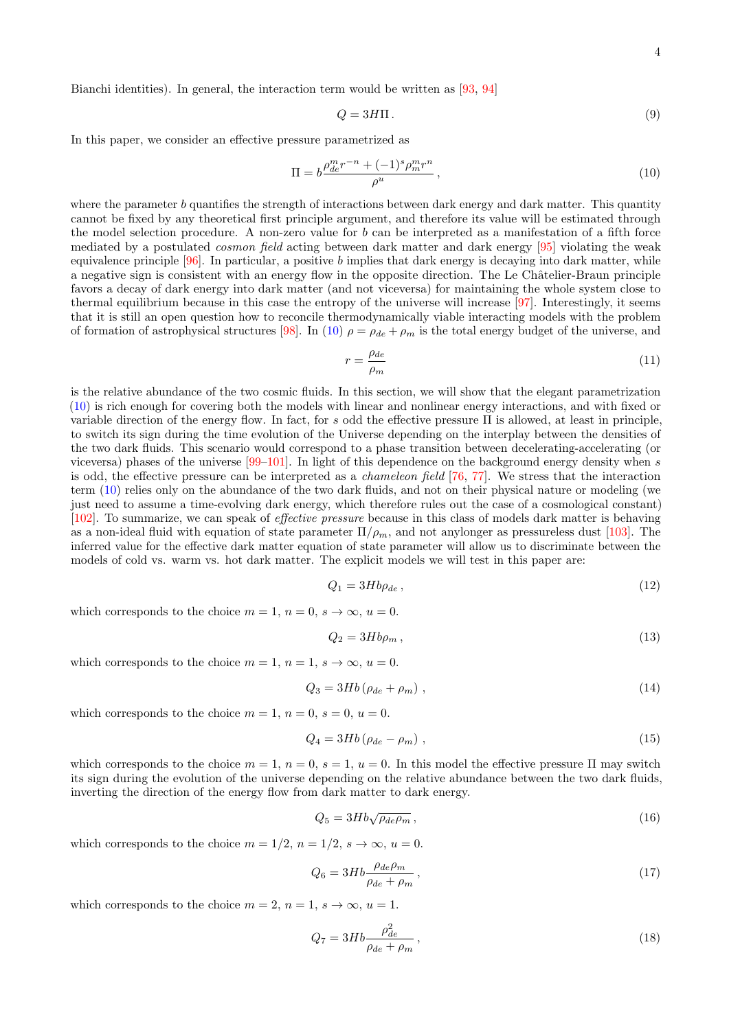Bianchi identities). In general, the interaction term would be written as [\[93,](#page-13-24) [94\]](#page-13-25)

$$
Q = 3H\Pi. \tag{9}
$$

In this paper, we consider an effective pressure parametrized as

<span id="page-3-0"></span>
$$
\Pi = b \frac{\rho_{de}^m r^{-n} + (-1)^s \rho_m^m r^n}{\rho^u},
$$
\n(10)

where the parameter b quantifies the strength of interactions between dark energy and dark matter. This quantity cannot be fixed by any theoretical first principle argument, and therefore its value will be estimated through the model selection procedure. A non-zero value for  $b$  can be interpreted as a manifestation of a fifth force mediated by a postulated *cosmon field* acting between dark matter and dark energy [\[95\]](#page-13-26) violating the weak equivalence principle  $[96]$ . In particular, a positive b implies that dark energy is decaying into dark matter, while a negative sign is consistent with an energy flow in the opposite direction. The Le Châtelier-Braun principle favors a decay of dark energy into dark matter (and not viceversa) for maintaining the whole system close to thermal equilibrium because in this case the entropy of the universe will increase [\[97\]](#page-13-28). Interestingly, it seems that it is still an open question how to reconcile thermodynamically viable interacting models with the problem of formation of astrophysical structures [\[98\]](#page-13-29). In [\(10\)](#page-3-0)  $\rho = \rho_{de} + \rho_m$  is the total energy budget of the universe, and

 $\mathbf{r}$ 

$$
r = \frac{\rho_{de}}{\rho_m} \tag{11}
$$

is the relative abundance of the two cosmic fluids. In this section, we will show that the elegant parametrization [\(10\)](#page-3-0) is rich enough for covering both the models with linear and nonlinear energy interactions, and with fixed or variable direction of the energy flow. In fact, for s odd the effective pressure  $\Pi$  is allowed, at least in principle, to switch its sign during the time evolution of the Universe depending on the interplay between the densities of the two dark fluids. This scenario would correspond to a phase transition between decelerating-accelerating (or viceversa) phases of the universe  $[99-101]$  $[99-101]$ . In light of this dependence on the background energy density when s is odd, the effective pressure can be interpreted as a chameleon field [\[76,](#page-13-9) [77\]](#page-13-10). We stress that the interaction term [\(10\)](#page-3-0) relies only on the abundance of the two dark fluids, and not on their physical nature or modeling (we just need to assume a time-evolving dark energy, which therefore rules out the case of a cosmological constant) [\[102\]](#page-14-1). To summarize, we can speak of effective pressure because in this class of models dark matter is behaving as a non-ideal fluid with equation of state parameter  $\Pi/\rho_m$ , and not anylonger as pressureless dust [\[103\]](#page-14-2). The inferred value for the effective dark matter equation of state parameter will allow us to discriminate between the models of cold vs. warm vs. hot dark matter. The explicit models we will test in this paper are:

<span id="page-3-1"></span>
$$
Q_1 = 3Hb\rho_{de} \,,\tag{12}
$$

which corresponds to the choice  $m = 1$ ,  $n = 0$ ,  $s \to \infty$ ,  $u = 0$ .

$$
Q_2 = 3Hb\rho_m \,,\tag{13}
$$

which corresponds to the choice  $m = 1$ ,  $n = 1$ ,  $s \to \infty$ ,  $u = 0$ .

$$
Q_3 = 3Hb\left(\rho_{de} + \rho_m\right),\tag{14}
$$

which corresponds to the choice  $m = 1$ ,  $n = 0$ ,  $s = 0$ ,  $u = 0$ .

$$
Q_4 = 3Hb\left(\rho_{de} - \rho_m\right),\tag{15}
$$

which corresponds to the choice  $m = 1$ ,  $n = 0$ ,  $s = 1$ ,  $u = 0$ . In this model the effective pressure  $\Pi$  may switch its sign during the evolution of the universe depending on the relative abundance between the two dark fluids, inverting the direction of the energy flow from dark matter to dark energy.

$$
Q_5 = 3Hb\sqrt{\rho_{de}\rho_m},\tag{16}
$$

which corresponds to the choice  $m = 1/2$ ,  $n = 1/2$ ,  $s \to \infty$ ,  $u = 0$ .

$$
Q_6 = 3Hb \frac{\rho_{de}\rho_m}{\rho_{de} + \rho_m},\tag{17}
$$

which corresponds to the choice  $m = 2$ ,  $n = 1$ ,  $s \to \infty$ ,  $u = 1$ .

$$
Q_7 = 3Hb \frac{\rho_{de}^2}{\rho_{de} + \rho_m},\tag{18}
$$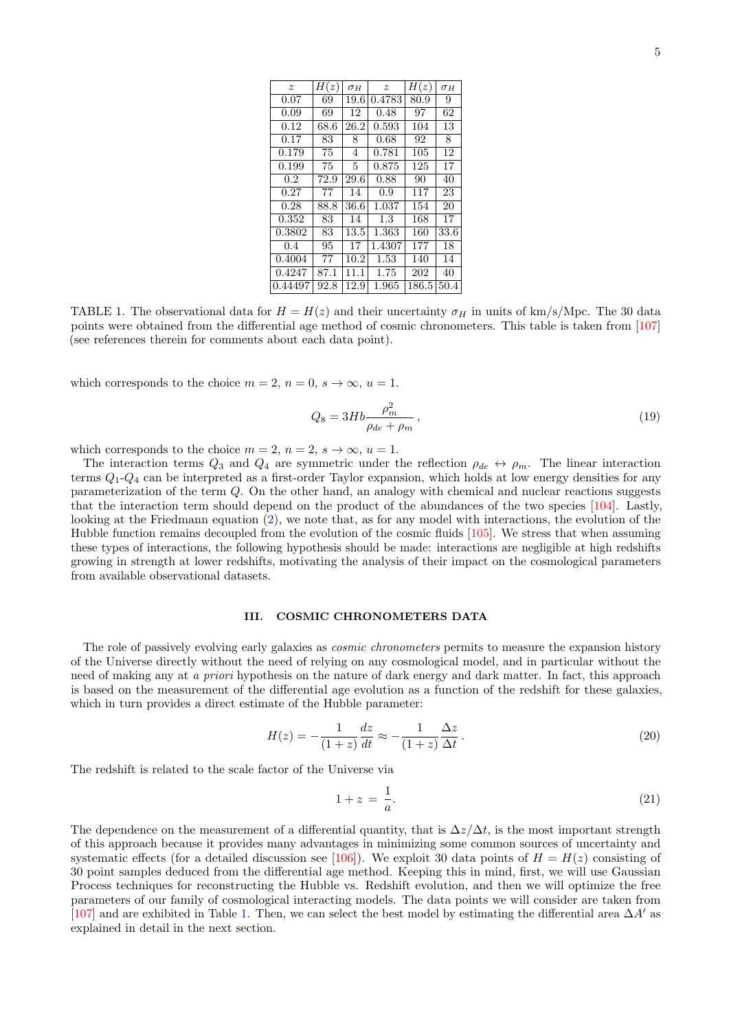<span id="page-4-1"></span>

| $\boldsymbol{z}$ | H(z) | $\sigma_H$ | $\boldsymbol{z}$ | H(z)  | $\sigma_H$ |
|------------------|------|------------|------------------|-------|------------|
| 0.07             | 69   | 19.6       | 0.4783           | 80.9  | 9          |
| 0.09             | 69   | 12         | 0.48             | 97    | 62         |
| 0.12             | 68.6 | 26.2       | 0.593            | 104   | 13         |
| 0.17             | 83   | 8          | 0.68             | 92    | 8          |
| 0.179            | 75   | 4          | 0.781            | 105   | 12         |
| 0.199            | 75   | 5          | 0.875            | 125   | 17         |
| $0.2\,$          | 72.9 | 29.6       | 0.88             | 90    | 40         |
| 0.27             | 77   | 14         | 0.9              | 117   | 23         |
| 0.28             | 88.8 | 36.6       | 1.037            | 154   | 20         |
| 0.352            | 83   | 14         | 1.3              | 168   | 17         |
| 0.3802           | 83   | 13.5       | 1.363            | 160   | 33.6       |
| 0.4              | 95   | 17         | 1.4307           | 177   | 18         |
| 0.4004           | 77   | 10.2       | 1.53             | 140   | 14         |
| 0.4247           | 87.1 | 11.1       | 1.75             | 202   | 40         |
| 0.44497          | 92.8 | 12.9       | 1.965            | 186.5 | 50.4       |

TABLE 1. The observational data for  $H = H(z)$  and their uncertainty  $\sigma_H$  in units of km/s/Mpc. The 30 data points were obtained from the differential age method of cosmic chronometers. This table is taken from [\[107\]](#page-14-3) (see references therein for comments about each data point).

which corresponds to the choice  $m = 2$ ,  $n = 0$ ,  $s \to \infty$ ,  $u = 1$ .

<span id="page-4-3"></span>
$$
Q_8 = 3Hb \frac{\rho_m^2}{\rho_{de} + \rho_m},\tag{19}
$$

which corresponds to the choice  $m = 2$ ,  $n = 2$ ,  $s \to \infty$ ,  $u = 1$ .

The interaction terms  $Q_3$  and  $Q_4$  are symmetric under the reflection  $\rho_{de} \leftrightarrow \rho_m$ . The linear interaction terms  $Q_1$ - $Q_4$  can be interpreted as a first-order Taylor expansion, which holds at low energy densities for any parameterization of the term  $Q$ . On the other hand, an analogy with chemical and nuclear reactions suggests that the interaction term should depend on the product of the abundances of the two species [\[104\]](#page-14-4). Lastly, looking at the Friedmann equation [\(2\)](#page-1-1), we note that, as for any model with interactions, the evolution of the Hubble function remains decoupled from the evolution of the cosmic fluids [\[105\]](#page-14-5). We stress that when assuming these types of interactions, the following hypothesis should be made: interactions are negligible at high redshifts growing in strength at lower redshifts, motivating the analysis of their impact on the cosmological parameters from available observational datasets.

### <span id="page-4-0"></span>III. COSMIC CHRONOMETERS DATA

The role of passively evolving early galaxies as *cosmic chronometers* permits to measure the expansion history of the Universe directly without the need of relying on any cosmological model, and in particular without the need of making any at a priori hypothesis on the nature of dark energy and dark matter. In fact, this approach is based on the measurement of the differential age evolution as a function of the redshift for these galaxies, which in turn provides a direct estimate of the Hubble parameter:

<span id="page-4-2"></span>
$$
H(z) = -\frac{1}{(1+z)}\frac{dz}{dt} \approx -\frac{1}{(1+z)}\frac{\Delta z}{\Delta t}.
$$
\n(20)

The redshift is related to the scale factor of the Universe via

$$
1 + z = \frac{1}{a}.\tag{21}
$$

The dependence on the measurement of a differential quantity, that is  $\Delta z/\Delta t$ , is the most important strength of this approach because it provides many advantages in minimizing some common sources of uncertainty and systematic effects (for a detailed discussion see [\[106\]](#page-14-6)). We exploit 30 data points of  $H = H(z)$  consisting of 30 point samples deduced from the differential age method. Keeping this in mind, first, we will use Gaussian Process techniques for reconstructing the Hubble vs. Redshift evolution, and then we will optimize the free parameters of our family of cosmological interacting models. The data points we will consider are taken from [\[107\]](#page-14-3) and are exhibited in Table [1.](#page-4-1) Then, we can select the best model by estimating the differential area  $\Delta A'$  as explained in detail in the next section.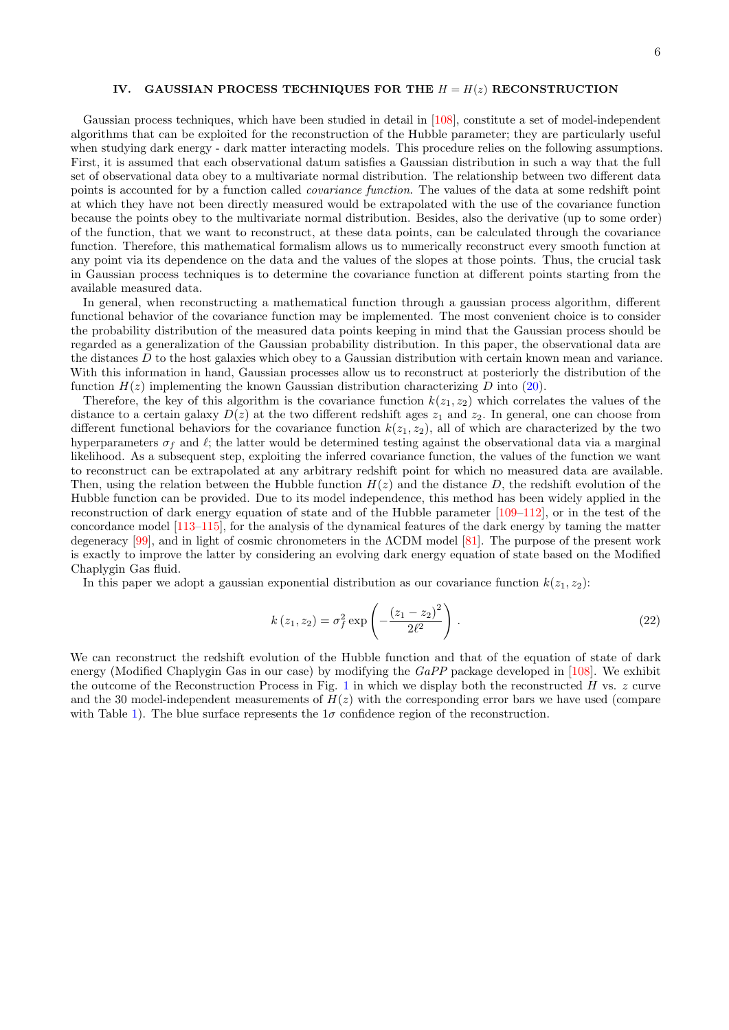#### <span id="page-5-0"></span>IV. GAUSSIAN PROCESS TECHNIQUES FOR THE  $H = H(z)$  RECONSTRUCTION

Gaussian process techniques, which have been studied in detail in [\[108\]](#page-14-7), constitute a set of model-independent algorithms that can be exploited for the reconstruction of the Hubble parameter; they are particularly useful when studying dark energy - dark matter interacting models. This procedure relies on the following assumptions. First, it is assumed that each observational datum satisfies a Gaussian distribution in such a way that the full set of observational data obey to a multivariate normal distribution. The relationship between two different data points is accounted for by a function called covariance function. The values of the data at some redshift point at which they have not been directly measured would be extrapolated with the use of the covariance function because the points obey to the multivariate normal distribution. Besides, also the derivative (up to some order) of the function, that we want to reconstruct, at these data points, can be calculated through the covariance function. Therefore, this mathematical formalism allows us to numerically reconstruct every smooth function at any point via its dependence on the data and the values of the slopes at those points. Thus, the crucial task in Gaussian process techniques is to determine the covariance function at different points starting from the available measured data.

In general, when reconstructing a mathematical function through a gaussian process algorithm, different functional behavior of the covariance function may be implemented. The most convenient choice is to consider the probability distribution of the measured data points keeping in mind that the Gaussian process should be regarded as a generalization of the Gaussian probability distribution. In this paper, the observational data are the distances  $D$  to the host galaxies which obey to a Gaussian distribution with certain known mean and variance. With this information in hand, Gaussian processes allow us to reconstruct at posteriorly the distribution of the function  $H(z)$  implementing the known Gaussian distribution characterizing D into [\(20\)](#page-4-2).

Therefore, the key of this algorithm is the covariance function  $k(z_1, z_2)$  which correlates the values of the distance to a certain galaxy  $D(z)$  at the two different redshift ages  $z_1$  and  $z_2$ . In general, one can choose from different functional behaviors for the covariance function  $k(z_1, z_2)$ , all of which are characterized by the two hyperparameters  $\sigma_f$  and  $\ell$ ; the latter would be determined testing against the observational data via a marginal likelihood. As a subsequent step, exploiting the inferred covariance function, the values of the function we want to reconstruct can be extrapolated at any arbitrary redshift point for which no measured data are available. Then, using the relation between the Hubble function  $H(z)$  and the distance D, the redshift evolution of the Hubble function can be provided. Due to its model independence, this method has been widely applied in the reconstruction of dark energy equation of state and of the Hubble parameter [\[109](#page-14-8)[–112\]](#page-14-9), or in the test of the concordance model [\[113](#page-14-10)[–115\]](#page-14-11), for the analysis of the dynamical features of the dark energy by taming the matter degeneracy [\[99\]](#page-13-30), and in light of cosmic chronometers in the ΛCDM model [\[81\]](#page-13-14). The purpose of the present work is exactly to improve the latter by considering an evolving dark energy equation of state based on the Modified Chaplygin Gas fluid.

In this paper we adopt a gaussian exponential distribution as our covariance function  $k(z_1, z_2)$ :

<span id="page-5-1"></span>
$$
k(z_1, z_2) = \sigma_f^2 \exp\left(-\frac{(z_1 - z_2)^2}{2\ell^2}\right).
$$
 (22)

We can reconstruct the redshift evolution of the Hubble function and that of the equation of state of dark energy (Modified Chaplygin Gas in our case) by modifying the GaPP package developed in [\[108\]](#page-14-7). We exhibit the outcome of the Reconstruction Process in Fig. [1](#page-6-1) in which we display both the reconstructed H vs.  $z$  curve and the 30 model-independent measurements of  $H(z)$  with the corresponding error bars we have used (compare with Table [1\)](#page-4-1). The blue surface represents the  $1\sigma$  confidence region of the reconstruction.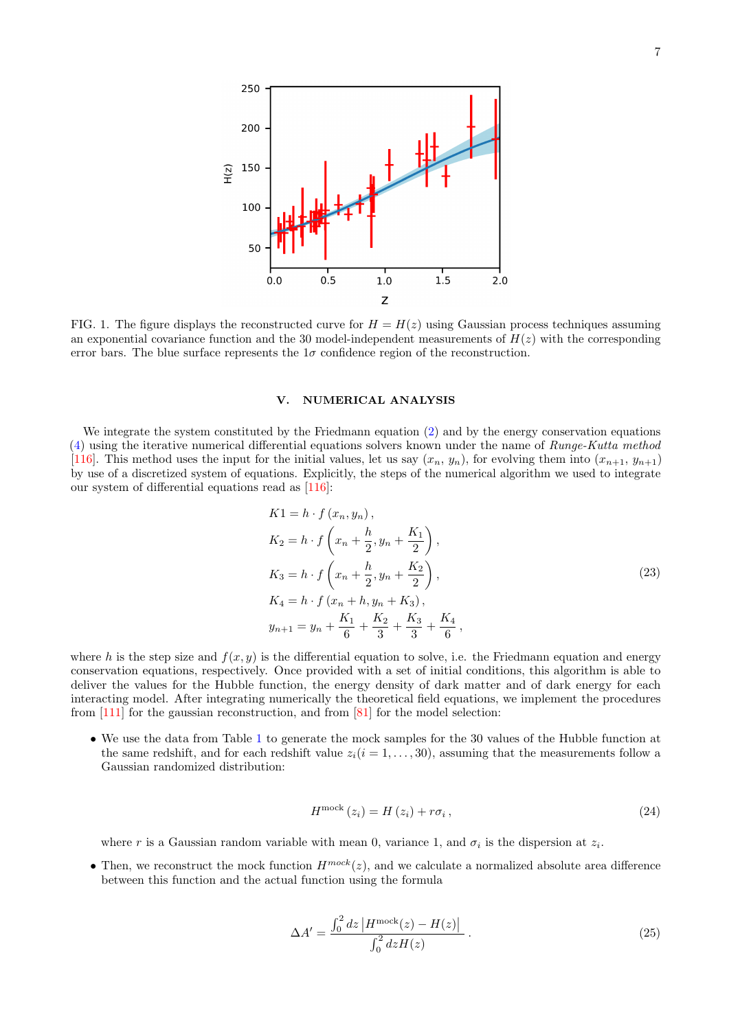<span id="page-6-1"></span>

FIG. 1. The figure displays the reconstructed curve for  $H = H(z)$  using Gaussian process techniques assuming an exponential covariance function and the 30 model-independent measurements of  $H(z)$  with the corresponding error bars. The blue surface represents the  $1\sigma$  confidence region of the reconstruction.

# <span id="page-6-0"></span>V. NUMERICAL ANALYSIS

We integrate the system constituted by the Friedmann equation [\(2\)](#page-1-1) and by the energy conservation equations  $(4)$  using the iterative numerical differential equations solvers known under the name of *Runge-Kutta method* [\[116\]](#page-14-12). This method uses the input for the initial values, let us say  $(x_n, y_n)$ , for evolving them into  $(x_{n+1}, y_{n+1})$ by use of a discretized system of equations. Explicitly, the steps of the numerical algorithm we used to integrate our system of differential equations read as [\[116\]](#page-14-12):

$$
K1 = h \cdot f(x_n, y_n),
$$
  
\n
$$
K_2 = h \cdot f\left(x_n + \frac{h}{2}, y_n + \frac{K_1}{2}\right),
$$
  
\n
$$
K_3 = h \cdot f\left(x_n + \frac{h}{2}, y_n + \frac{K_2}{2}\right),
$$
  
\n
$$
K_4 = h \cdot f(x_n + h, y_n + K_3),
$$
  
\n
$$
y_{n+1} = y_n + \frac{K_1}{6} + \frac{K_2}{3} + \frac{K_3}{3} + \frac{K_4}{6},
$$
\n(23)

where h is the step size and  $f(x, y)$  is the differential equation to solve, i.e. the Friedmann equation and energy conservation equations, respectively. Once provided with a set of initial conditions, this algorithm is able to deliver the values for the Hubble function, the energy density of dark matter and of dark energy for each interacting model. After integrating numerically the theoretical field equations, we implement the procedures from  $[111]$  for the gaussian reconstruction, and from  $[81]$  for the model selection:

• We use the data from Table [1](#page-4-1) to generate the mock samples for the 30 values of the Hubble function at the same redshift, and for each redshift value  $z_i(i = 1, \ldots, 30)$ , assuming that the measurements follow a Gaussian randomized distribution:

$$
H^{\text{mock}}(z_i) = H(z_i) + r\sigma_i, \qquad (24)
$$

where r is a Gaussian random variable with mean 0, variance 1, and  $\sigma_i$  is the dispersion at  $z_i$ .

• Then, we reconstruct the mock function  $H^{mock}(z)$ , and we calculate a normalized absolute area difference between this function and the actual function using the formula

<span id="page-6-2"></span>
$$
\Delta A' = \frac{\int_0^2 dz \, |H^{\text{mock}}(z) - H(z)|}{\int_0^2 dz H(z)} \,. \tag{25}
$$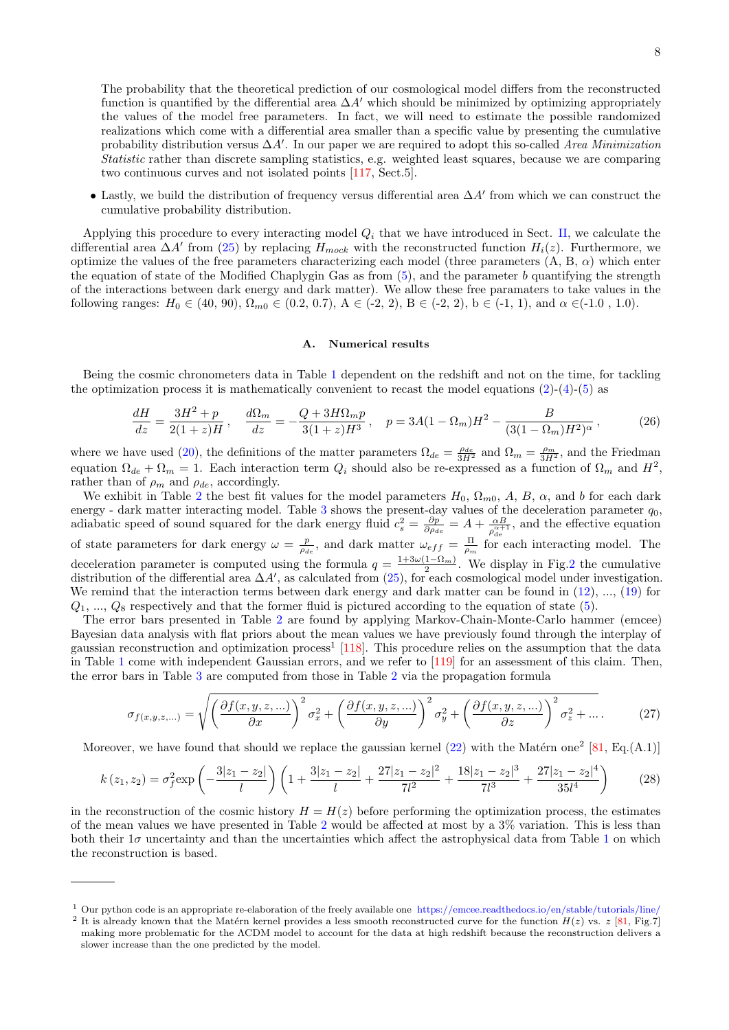The probability that the theoretical prediction of our cosmological model differs from the reconstructed function is quantified by the differential area  $\Delta A'$  which should be minimized by optimizing appropriately the values of the model free parameters. In fact, we will need to estimate the possible randomized realizations which come with a differential area smaller than a specific value by presenting the cumulative probability distribution versus  $\Delta A'$ . In our paper we are required to adopt this so-called Area Minimization Statistic rather than discrete sampling statistics, e.g. weighted least squares, because we are comparing two continuous curves and not isolated points [\[117,](#page-14-14) Sect.5].

• Lastly, we build the distribution of frequency versus differential area  $\Delta A'$  from which we can construct the cumulative probability distribution.

Applying this procedure to every interacting model  $Q_i$  that we have introduced in Sect. [II,](#page-1-0) we calculate the differential area  $\Delta A'$  from [\(25\)](#page-6-2) by replacing  $H_{mock}$  with the reconstructed function  $H_i(z)$ . Furthermore, we optimize the values of the free parameters characterizing each model (three parameters  $(A, B, \alpha)$ ) which enter the equation of state of the Modified Chaplygin Gas as from  $(5)$ , and the parameter b quantifying the strength of the interactions between dark energy and dark matter). We allow these free paramaters to take values in the following ranges:  $H_0 \in (40, 90)$ ,  $\Omega_{m0} \in (0.2, 0.7)$ ,  $A \in (-2, 2)$ ,  $B \in (-2, 2)$ ,  $b \in (-1, 1)$ , and  $\alpha \in (-1.0, 1.0)$ .

### A. Numerical results

Being the cosmic chronometers data in Table [1](#page-4-1) dependent on the redshift and not on the time, for tackling the optimization process it is mathematically convenient to recast the model equations  $(2)-(4)-(5)$  $(2)-(4)-(5)$  $(2)-(4)-(5)$  $(2)-(4)-(5)$  $(2)-(4)-(5)$  as

$$
\frac{dH}{dz} = \frac{3H^2 + p}{2(1+z)H}, \quad \frac{d\Omega_m}{dz} = -\frac{Q + 3H\Omega_m p}{3(1+z)H^3}, \quad p = 3A(1 - \Omega_m)H^2 - \frac{B}{(3(1 - \Omega_m)H^2)^{\alpha}},\tag{26}
$$

where we have used [\(20\)](#page-4-2), the definitions of the matter parameters  $\Omega_{de} = \frac{\rho_{de}}{3H^2}$  and  $\Omega_m = \frac{\rho_m}{3H^2}$ , and the Friedman equation  $\Omega_{de} + \Omega_m = 1$ . Each interaction term  $Q_i$  should also be re-expressed as a function of  $\Omega_m$  and  $H^2$ , rather than of  $\rho_m$  and  $\rho_{de}$ , accordingly.

We exhibit in Table [2](#page-8-0) the best fit values for the model parameters  $H_0$ ,  $\Omega_{m0}$ , A, B,  $\alpha$ , and b for each dark energy - dark matter interacting model. Table [3](#page-8-1) shows the present-day values of the deceleration parameter  $q_0$ , adiabatic speed of sound squared for the dark energy fluid  $c_s^2 = \frac{\partial p}{\partial \rho_{de}} = A + \frac{\alpha B}{\rho_{de}^{A_c}}$  $\frac{\alpha B}{\rho_{\rm de}^{\alpha+1}}$ , and the effective equation of state parameters for dark energy  $\omega = \frac{p}{\rho_{de}}$ , and dark matter  $\omega_{eff} = \frac{\Pi}{\rho_m}$  for each interacting model. The deceleration parameter is computed using the formula  $q = \frac{1+3\omega(1-\Omega_m)}{2}$ . We display in Fig[.2](#page-9-0) the cumulative distribution of the differential area  $\Delta A'$ , as calculated from [\(25\)](#page-6-2), for each cosmological model under investigation. We remind that the interaction terms between dark energy and dark matter can be found in  $(12), \ldots, (19)$  $(12), \ldots, (19)$  $(12), \ldots, (19)$  for  $Q_1, ..., Q_8$  respectively and that the former fluid is pictured according to the equation of state [\(5\)](#page-2-0).

The error bars presented in Table [2](#page-8-0) are found by applying Markov-Chain-Monte-Carlo hammer (emcee) Bayesian data analysis with flat priors about the mean values we have previously found through the interplay of gaussian reconstruction and optimization process<sup>1</sup> [\[118\]](#page-14-15). This procedure relies on the assumption that the data in Table [1](#page-4-1) come with independent Gaussian errors, and we refer to [\[119\]](#page-14-16) for an assessment of this claim. Then, the error bars in Table [3](#page-8-1) are computed from those in Table [2](#page-8-0) via the propagation formula

<span id="page-7-0"></span>
$$
\sigma_{f(x,y,z,...)} = \sqrt{\left(\frac{\partial f(x,y,z,...)}{\partial x}\right)^2 \sigma_x^2 + \left(\frac{\partial f(x,y,z,...)}{\partial y}\right)^2 \sigma_y^2 + \left(\frac{\partial f(x,y,z,...)}{\partial z}\right)^2 \sigma_z^2 + \dots} \tag{27}
$$

Moreover, we have found that should we replace the gaussian kernel  $(22)$  with the Matérn one<sup>2</sup> [\[81,](#page-13-14) Eq.(A.1)]

$$
k(z_1, z_2) = \sigma_f^2 \exp\left(-\frac{3|z_1 - z_2|}{l}\right) \left(1 + \frac{3|z_1 - z_2|}{l} + \frac{27|z_1 - z_2|^2}{7l^2} + \frac{18|z_1 - z_2|^3}{7l^3} + \frac{27|z_1 - z_2|^4}{35l^4}\right) \tag{28}
$$

in the reconstruction of the cosmic history  $H = H(z)$  before performing the optimization process, the estimates of the mean values we have presented in Table [2](#page-8-0) would be affected at most by a 3% variation. This is less than both their  $1\sigma$  $1\sigma$  uncertainty and than the uncertainties which affect the astrophysical data from Table 1 on which the reconstruction is based.

<sup>&</sup>lt;sup>1</sup> Our python code is an appropriate re-elaboration of the freely available one <https://emcee.readthedocs.io/en/stable/tutorials/line/>

<sup>&</sup>lt;sup>2</sup> It is already known that the Matérn kernel provides a less smooth reconstructed curve for the function  $H(z)$  vs.  $z$  [\[81,](#page-13-14) Fig.7] making more problematic for the ΛCDM model to account for the data at high redshift because the reconstruction delivers a slower increase than the one predicted by the model.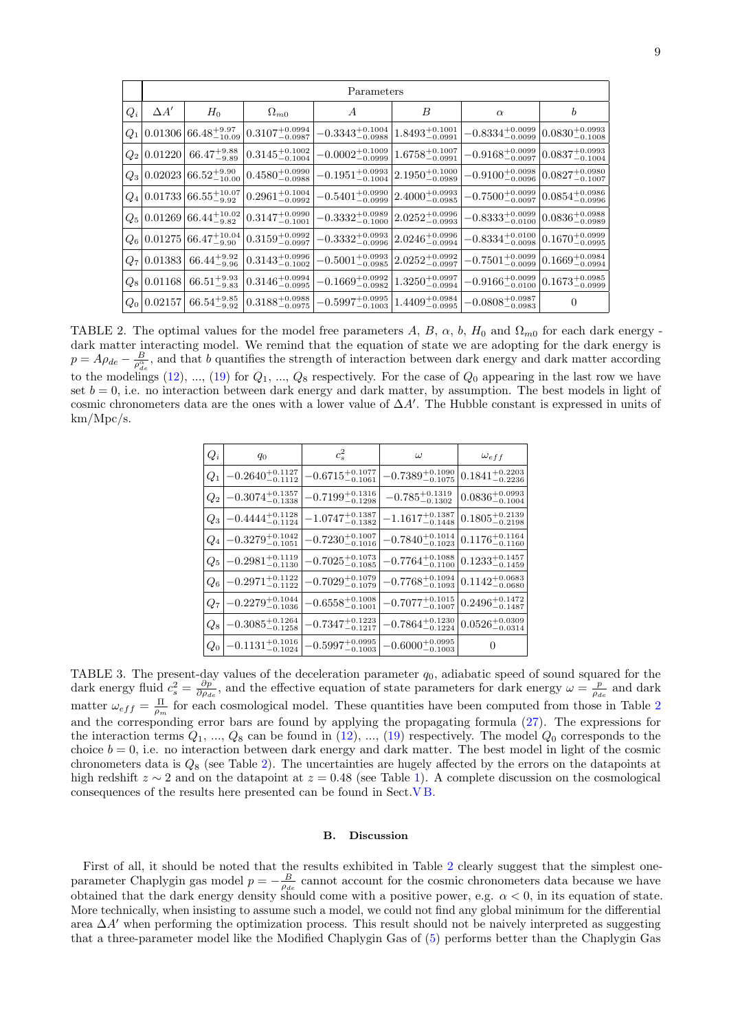<span id="page-8-0"></span>

|       | Parameters  |                                                         |                                                                                     |                               |                                |                               |                              |
|-------|-------------|---------------------------------------------------------|-------------------------------------------------------------------------------------|-------------------------------|--------------------------------|-------------------------------|------------------------------|
| $Q_i$ | $\Delta A'$ | $H_0$                                                   | $\Omega_{m0}$                                                                       | А                             | B                              | $\alpha$                      | b                            |
| $Q_1$ |             |                                                         | $0.01306\,66.48^{+9.97}_{-10.09}\,0.3107^{+0.0994}_{-0.0987}$                       | $-0.3343_{-0.0988}^{+0.1004}$ | $1.8493_{-0.0991}^{+0.1001}$   | $-0.8334_{-0.0099}^{+0.0099}$ | $0.0830^{+0.0993}_{-0.1008}$ |
| $Q_2$ |             | $0.01220   66.47^{+9.88}_{-9.89}$                       | $0.3145_{-0.1004}^{+0.1002}$                                                        | $-0.0002_{-0.0999}^{+0.1009}$ | $1.6758^{+0.1007}_{-0.0991}$   | $-0.9168_{-0.0097}^{+0.0099}$ | $0.0837_{-0.1004}^{+0.0993}$ |
| $Q_3$ |             |                                                         | $\left.0.02023\right 66.52^{+9.90}_{-10.00}\right 0.4580^{+0.0990}_{-0.0988}$       | $-0.1951_{-0.1004}^{+0.0993}$ | $2.1950^{+0.1000}_{-0.0989}$   | $-0.9100^{+0.0098}_{-0.0096}$ | $0.0827^{+0.0980}_{-0.1007}$ |
| $Q_4$ |             | $\left  0.01733 \right  66.55^{+10.07}_{-9.92} \left $  | $0.2961^{+0.1004}_{-0.0992}$                                                        | $-0.5401^{+0.0990}_{-0.0999}$ | $2.4000^{+0.0993}_{-0.0985}$   | $-0.7500^{+0.0099}_{-0.0097}$ | $0.0854_{-0.0996}^{+0.0986}$ |
| $Q_5$ |             |                                                         | $\left.0.01269\right 66.44_{-9.82}^{+10.02}\left 0.3147_{-0.1001}^{+0.0990}\right $ | $-0.3332_{-0.1000}^{+0.0989}$ | $2.0252_{-0.0993}^{+0.0996}$   | $-0.8333_{-0.0100}^{+0.0099}$ | $0.0836_{-0.0989}^{+0.0988}$ |
| $Q_6$ |             | $\left  0.01275 \right  66.47_{-9.90}^{+10.04} \right $ | $0.3159^{+0.0992}_{-0.0997}$                                                        | $-0.3332_{-0.0996}^{+0.0993}$ | $2.0246_{-0.0994}^{+0.0996}$   | $-0.8334_{-0.0098}^{+0.0100}$ | $0.1670^{+0.0999}_{-0.0995}$ |
| $Q_7$ |             | $0.01383   66.44^{+9.92}_{-9.96}$                       | $0.3143^{+0.0996}_{-0.1002}$                                                        | $-0.5001^{+0.0993}_{-0.0985}$ | $ 2.0252_{-0.0997}^{+0.0992} $ | $-0.7501^{+0.0099}_{-0.0099}$ | $0.1669^{+0.0984}_{-0.0994}$ |
| $Q_8$ | 0.01168     | $66.51_{-9.83}^{+9.93}$                                 | $0.3146_{-0.0995}^{+0.0994}$                                                        | $-0.1669_{-0.0982}^{+0.0992}$ | $1.3250^{+0.0997}_{-0.0994}$   | $-0.9166_{-0.0100}^{+0.0099}$ | $0.1673_{-0.0999}^{+0.0985}$ |
| $Q_0$ | 0.02157     | $66.54_{-9.92}^{+9.85}$                                 | $0.3188^{+0.0988}_{-0.0975}$                                                        | $-0.5997_{-0.1003}^{+0.0995}$ | $1.4409_{-0.0995}^{+0.0984}$   | $-0.0808^{+0.0987}_{-0.0983}$ | $\overline{0}$               |

<span id="page-8-1"></span>TABLE 2. The optimal values for the model free parameters A, B,  $\alpha$ , b,  $H_0$  and  $\Omega_{m0}$  for each dark energy dark matter interacting model. We remind that the equation of state we are adopting for the dark energy is  $p = A \rho_{de} - \frac{B}{\rho_{de}^2}$ , and that b quantifies the strength of interaction between dark energy and dark matter according to the modelings [\(12\)](#page-3-1), ..., [\(19\)](#page-4-3) for  $Q_1$ , ...,  $Q_8$  respectively. For the case of  $Q_0$  appearing in the last row we have set  $b = 0$ , i.e. no interaction between dark energy and dark matter, by assumption. The best models in light of cosmic chronometers data are the ones with a lower value of  $\Delta A'$ . The Hubble constant is expressed in units of km/Mpc/s.

| $Q_i$   | $q_0$                                | $c_s^2$                       | $\omega$                                          | $\omega_{eff}$               |
|---------|--------------------------------------|-------------------------------|---------------------------------------------------|------------------------------|
| $Q_1$   | $-0.2640_{-0.1112}^{+0.1127}$        | $-0.6715_{-0.1061}^{+0.1077}$ | $-0.7389^{+0.1090}_{-0.1075}$                     | $0.1841^{+0.2203}_{-0.2236}$ |
| $\,Q_2$ | $-0.3074_{-0.1338}^{+0.1357}$        | $-0.7199_{-0.1298}^{+0.1316}$ | $-0.785_{-0.1302}^{+0.1319}$                      | $0.0836_{-0.1004}^{+0.0993}$ |
| $Q_3$   | $-0.4444^{+0.1128}_{-0.1124}$        | $-1.0747_{-0.1382}^{+0.1387}$ | $-1.1617_{-0.1448}^{+0.1387}$                     | $0.1805_{-0.2198}^{+0.2139}$ |
| $Q_4$   | $-0.3279_{-0.1051}^{+0.1042}$        | $-0.7230^{+0.1007}_{-0.1016}$ | $-0.7840_{-0.1023}^{+0.1014}$                     | $0.1176^{+0.1164}_{-0.1160}$ |
| $Q_5$   | $-0.2981_{-0.1130}^{+0.1119}$        | $-0.7025^{+0.1073}_{-0.1085}$ | $-0.7764^{+0.1088}_{-0.1100}$                     | $0.1233_{-0.1459}^{+0.1457}$ |
| $Q_6$   | $-0.2971_{-0.1122}^{+0.1122}$        | $-0.7029_{-0.1079}^{+0.1079}$ | $-0.7768^{+0.1094}_{-0.1093}$                     | $0.1142^{+0.0683}_{-0.0680}$ |
| $Q_7$   | $-0.2279\substack{+0.1044\\-0.1036}$ | $-0.6558^{+0.1008}_{-0.1001}$ | $-0.7077^{+0.1015}_{-0.1007}$                     | $0.2496_{-0.1487}^{+0.1472}$ |
| $Q_8$   | $-0.3085^{+0.1264}_{-0.1258}$        | $-0.7347_{-0.1217}^{+0.1223}$ | $-0.7864_{-0.1224}^{+0.1230}$                     | $0.0526_{-0.0314}^{+0.0309}$ |
| $Q_0$   | $-0.1131^{+0.1016}_{-0.1024}$        | $-0.5997^{+0.0995}_{-0.1003}$ | $-0.6000^{\mathrm {+0.0995}}_{\mathrm {-0.1003}}$ | $\overline{\phantom{0}}$     |

TABLE 3. The present-day values of the deceleration parameter  $q_0$ , adiabatic speed of sound squared for the dark energy fluid  $c_s^2 = \frac{\partial p}{\partial \rho_{de}}$ , and the effective equation of state parameters for dark energy  $\omega = \frac{p}{\rho_{de}}$  and dark matter  $\omega_{eff} = \frac{\Pi}{\rho_m}$  for each cosmological model. These quantities have been computed from those in Table [2](#page-8-0) and the corresponding error bars are found by applying the propagating formula [\(27\)](#page-7-0). The expressions for the interaction terms  $Q_1, ..., Q_8$  can be found in  $(12), ..., (19)$  $(12), ..., (19)$  $(12), ..., (19)$  respectively. The model  $Q_0$  corresponds to the choice  $b = 0$ , i.e. no interaction between dark energy and dark matter. The best model in light of the cosmic chronometers data is  $Q_8$  (see Table [2\)](#page-8-0). The uncertainties are hugely affected by the errors on the datapoints at high redshift  $z \sim 2$  and on the datapoint at  $z = 0.48$  (see Table [1\)](#page-4-1). A complete discussion on the cosmological consequences of the results here presented can be found in Sect[.V B.](#page-8-2)

### <span id="page-8-2"></span>B. Discussion

First of all, it should be noted that the results exhibited in Table [2](#page-8-0) clearly suggest that the simplest oneparameter Chaplygin gas model  $p = -\frac{B}{\rho_{de}}$  cannot account for the cosmic chronometers data because we have obtained that the dark energy density should come with a positive power, e.g.  $\alpha < 0$ , in its equation of state. More technically, when insisting to assume such a model, we could not find any global minimum for the differential area  $\Delta A'$  when performing the optimization process. This result should not be naively interpreted as suggesting that a three-parameter model like the Modified Chaplygin Gas of [\(5\)](#page-2-0) performs better than the Chaplygin Gas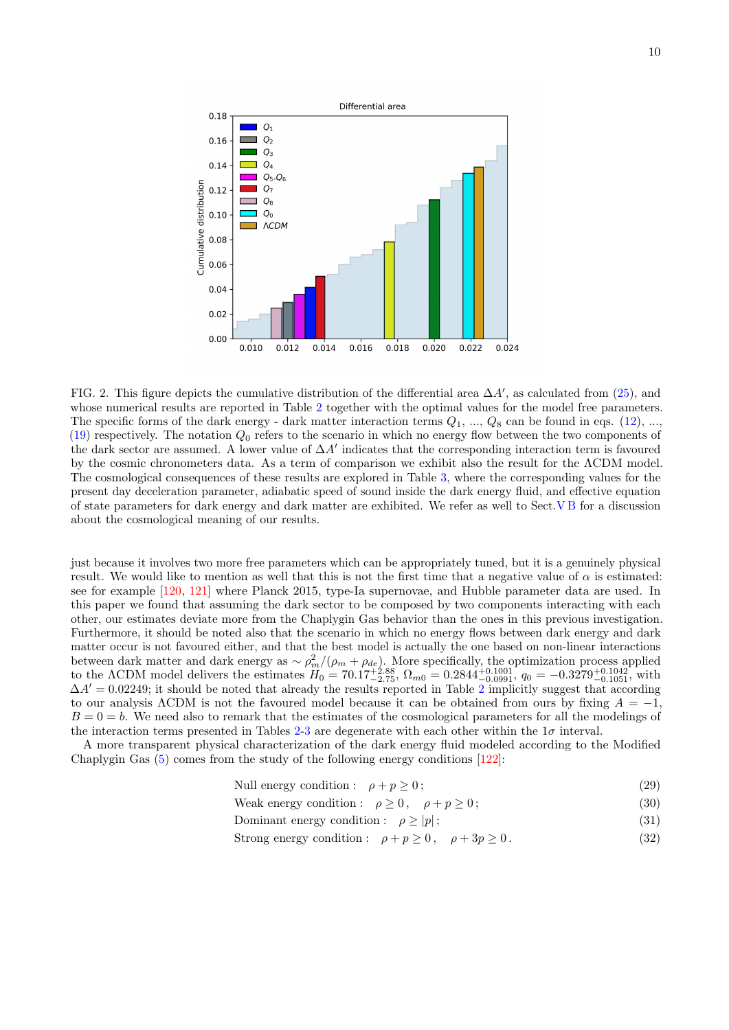<span id="page-9-0"></span>

FIG. 2. This figure depicts the cumulative distribution of the differential area  $\Delta A'$ , as calculated from [\(25\)](#page-6-2), and whose numerical results are reported in Table [2](#page-8-0) together with the optimal values for the model free parameters. The specific forms of the dark energy - dark matter interaction terms  $Q_1, ..., Q_8$  can be found in eqs. [\(12\)](#page-3-1), ... [\(19\)](#page-4-3) respectively. The notation  $Q_0$  refers to the scenario in which no energy flow between the two components of the dark sector are assumed. A lower value of  $\Delta A'$  indicates that the corresponding interaction term is favoured by the cosmic chronometers data. As a term of comparison we exhibit also the result for the ΛCDM model. The cosmological consequences of these results are explored in Table [3,](#page-8-1) where the corresponding values for the present day deceleration parameter, adiabatic speed of sound inside the dark energy fluid, and effective equation of state parameters for dark energy and dark matter are exhibited. We refer as well to Sect[.V B](#page-8-2) for a discussion about the cosmological meaning of our results.

just because it involves two more free parameters which can be appropriately tuned, but it is a genuinely physical result. We would like to mention as well that this is not the first time that a negative value of  $\alpha$  is estimated: see for example [\[120,](#page-14-17) [121\]](#page-14-18) where Planck 2015, type-Ia supernovae, and Hubble parameter data are used. In this paper we found that assuming the dark sector to be composed by two components interacting with each other, our estimates deviate more from the Chaplygin Gas behavior than the ones in this previous investigation. Furthermore, it should be noted also that the scenario in which no energy flows between dark energy and dark matter occur is not favoured either, and that the best model is actually the one based on non-linear interactions between dark matter and dark energy as  $\sim \rho_m^2/(\rho_m + \rho_{de})$ . More specifically, the optimization process applied to the ACDM model delivers the estimates  $H_0 = 70.17^{+2.88}_{-2.75}$ ,  $\Omega_{m0} = 0.2844^{+0.1001}_{-0.0991}$ ,  $q_0 = -0.3279^{+0.1042}_{-0.1051}$ , with  $\Delta A' = 0.02249$  $\Delta A' = 0.02249$  $\Delta A' = 0.02249$ ; it should be noted that already the results reported in Table 2 implicitly suggest that according to our analysis ΛCDM is not the favoured model because it can be obtained from ours by fixing  $A = -1$ ,  $B = 0 = b$ . We need also to remark that the estimates of the cosmological parameters for all the modelings of the interaction terms presented in Tables [2-](#page-8-0)[3](#page-8-1) are degenerate with each other within the  $1\sigma$  interval.

A more transparent physical characterization of the dark energy fluid modeled according to the Modified Chaplygin Gas [\(5\)](#page-2-0) comes from the study of the following energy conditions [\[122\]](#page-14-19):

| Null energy condition : $\rho + p \geq 0$ ; | $^{\prime}29)$ |  |
|---------------------------------------------|----------------|--|
|---------------------------------------------|----------------|--|

- Weak energy condition :  $\rho \ge 0$ ,  $\rho + p \ge 0$ ; (30)
- Dominant energy condition :  $\rho \ge |p|$ ; (31)
- Strong energy condition :  $\rho + p \ge 0$ ,  $\rho + 3p \ge 0$ . (32)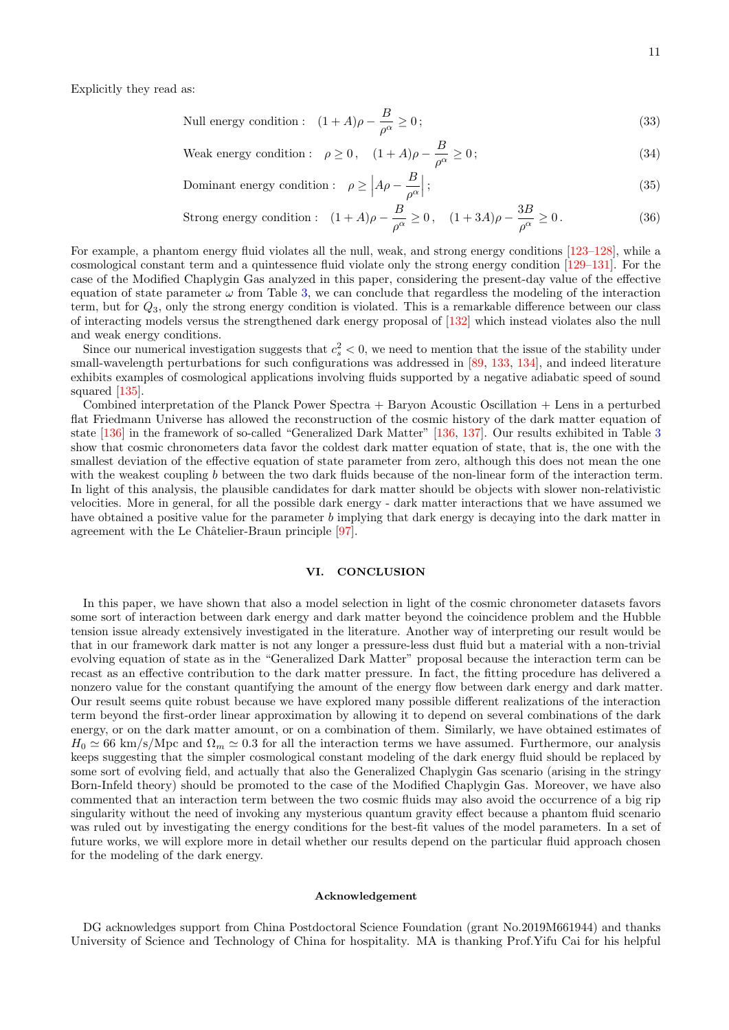Null energy condition: 
$$
(1 + A)\rho - \frac{B}{\rho^{\alpha}} \ge 0;
$$
 (33)

Weak energy condition: 
$$
\rho \ge 0
$$
,  $(1 + A)\rho - \frac{B}{\rho^{\alpha}} \ge 0$  ; (34)

$$
Domainant energy condition: \quad \rho \ge \left| A\rho - \frac{B}{\rho^{\alpha}} \right|; \tag{35}
$$

Strong energy condition: 
$$
(1 + A)\rho - \frac{B}{\rho^{\alpha}} \ge 0
$$
,  $(1 + 3A)\rho - \frac{3B}{\rho^{\alpha}} \ge 0$ . (36)

For example, a phantom energy fluid violates all the null, weak, and strong energy conditions [\[123](#page-14-20)[–128\]](#page-14-21), while a cosmological constant term and a quintessence fluid violate only the strong energy condition [\[129–](#page-14-22)[131\]](#page-14-23). For the case of the Modified Chaplygin Gas analyzed in this paper, considering the present-day value of the effective equation of state parameter  $\omega$  from Table [3,](#page-8-1) we can conclude that regardless the modeling of the interaction term, but for  $Q_3$ , only the strong energy condition is violated. This is a remarkable difference between our class of interacting models versus the strengthened dark energy proposal of [\[132\]](#page-14-24) which instead violates also the null and weak energy conditions.

Since our numerical investigation suggests that  $c_s^2 < 0$ , we need to mention that the issue of the stability under small-wavelength perturbations for such configurations was addressed in [\[89,](#page-13-20) [133,](#page-14-25) [134\]](#page-14-26), and indeed literature exhibits examples of cosmological applications involving fluids supported by a negative adiabatic speed of sound squared [\[135\]](#page-14-27).

Combined interpretation of the Planck Power Spectra + Baryon Acoustic Oscillation + Lens in a perturbed flat Friedmann Universe has allowed the reconstruction of the cosmic history of the dark matter equation of state [\[136\]](#page-15-0) in the framework of so-called "Generalized Dark Matter" [\[136,](#page-15-0) [137\]](#page-15-1). Our results exhibited in Table [3](#page-8-1) show that cosmic chronometers data favor the coldest dark matter equation of state, that is, the one with the smallest deviation of the effective equation of state parameter from zero, although this does not mean the one with the weakest coupling b between the two dark fluids because of the non-linear form of the interaction term. In light of this analysis, the plausible candidates for dark matter should be objects with slower non-relativistic velocities. More in general, for all the possible dark energy - dark matter interactions that we have assumed we have obtained a positive value for the parameter b implying that dark energy is decaying into the dark matter in agreement with the Le Châtelier-Braun principle [\[97\]](#page-13-28).

## <span id="page-10-0"></span>VI. CONCLUSION

In this paper, we have shown that also a model selection in light of the cosmic chronometer datasets favors some sort of interaction between dark energy and dark matter beyond the coincidence problem and the Hubble tension issue already extensively investigated in the literature. Another way of interpreting our result would be that in our framework dark matter is not any longer a pressure-less dust fluid but a material with a non-trivial evolving equation of state as in the "Generalized Dark Matter" proposal because the interaction term can be recast as an effective contribution to the dark matter pressure. In fact, the fitting procedure has delivered a nonzero value for the constant quantifying the amount of the energy flow between dark energy and dark matter. Our result seems quite robust because we have explored many possible different realizations of the interaction term beyond the first-order linear approximation by allowing it to depend on several combinations of the dark energy, or on the dark matter amount, or on a combination of them. Similarly, we have obtained estimates of  $H_0 \simeq 66 \text{ km/s/Mpc}$  and  $\Omega_m \simeq 0.3$  for all the interaction terms we have assumed. Furthermore, our analysis keeps suggesting that the simpler cosmological constant modeling of the dark energy fluid should be replaced by some sort of evolving field, and actually that also the Generalized Chaplygin Gas scenario (arising in the stringy Born-Infeld theory) should be promoted to the case of the Modified Chaplygin Gas. Moreover, we have also commented that an interaction term between the two cosmic fluids may also avoid the occurrence of a big rip singularity without the need of invoking any mysterious quantum gravity effect because a phantom fluid scenario was ruled out by investigating the energy conditions for the best-fit values of the model parameters. In a set of future works, we will explore more in detail whether our results depend on the particular fluid approach chosen for the modeling of the dark energy.

#### Acknowledgement

DG acknowledges support from China Postdoctoral Science Foundation (grant No.2019M661944) and thanks University of Science and Technology of China for hospitality. MA is thanking Prof.Yifu Cai for his helpful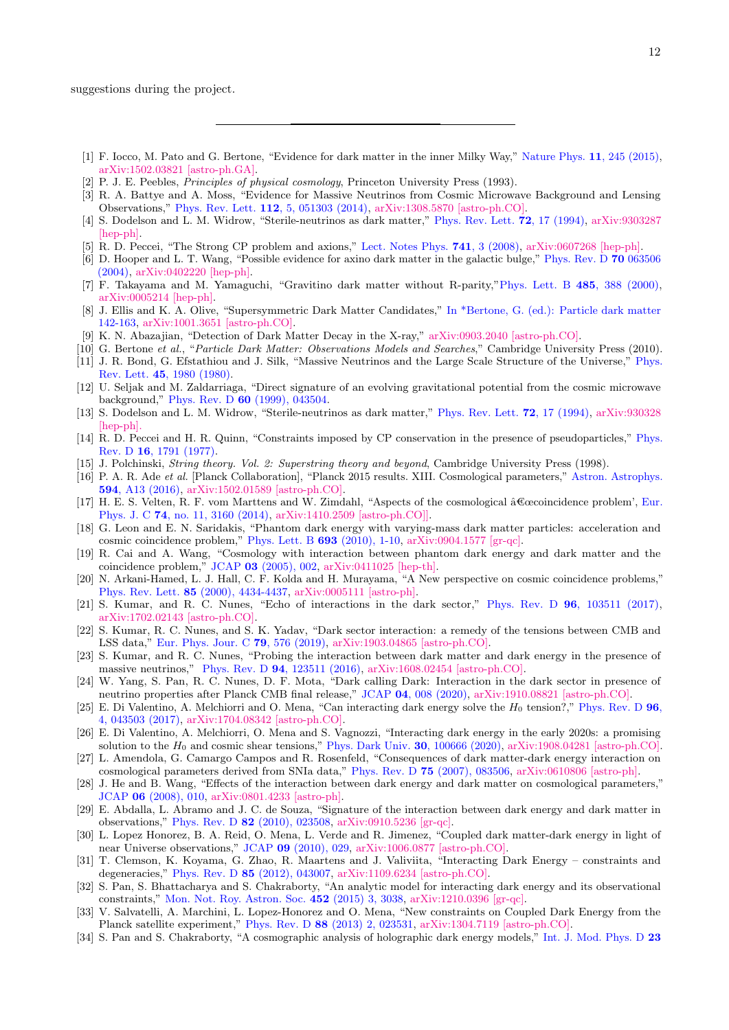suggestions during the project.

- <span id="page-11-0"></span>[1] F. Iocco, M. Pato and G. Bertone, "Evidence for dark matter in the inner Milky Way," [Nature Phys.](https://www.doi.org/10.1038/nphys3237) 11, 245 (2015), [arXiv:1502.03821 \[astro-ph.GA\].](https://arxiv.org/abs/1502.03821)
- <span id="page-11-1"></span>[2] P. J. E. Peebles, Principles of physical cosmology, Princeton University Press (1993).
- <span id="page-11-2"></span>[3] R. A. Battye and A. Moss, "Evidence for Massive Neutrinos from Cosmic Microwave Background and Lensing Observations," Phys. Rev. Lett. 112[, 5, 051303 \(2014\),](https://www.doi.org/10.1103/PhysRevLett.112.051303) [arXiv:1308.5870 \[astro-ph.CO\].](https://arxiv.org/abs/1308.5870)
- <span id="page-11-3"></span>[4] S. Dodelson and L. M. Widrow, "Sterile-neutrinos as dark matter," [Phys. Rev. Lett.](https://www.doi.org/10.1103/PhysRevLett.72.17) 72, 17 (1994), [arXiv:9303287](https://arxiv.org/abs/hep-ph/9303287) [\[hep-ph\].](https://arxiv.org/abs/hep-ph/9303287)
- <span id="page-11-4"></span>[5] R. D. Peccei, "The Strong CP problem and axions," [Lect. Notes Phys.](https://www.doi.org/10.1007/978-3-540-73518-2_1) 741, 3 (2008), [arXiv:0607268 \[hep-ph\].](https://arxiv.org/abs/hep-ph/0607268)
- <span id="page-11-5"></span>[6] D. Hooper and L. T. Wang, "Possible evidence for axino dark matter in the galactic bulge," [Phys. Rev. D](https://www.doi.org/10.1103/PhysRevD.70.063506) 70 063506 [\(2004\),](https://www.doi.org/10.1103/PhysRevD.70.063506) [arXiv:0402220 \[hep-ph\].](https://arxiv.org/abs/hep-ph/0402220)
- <span id="page-11-6"></span>[7] F. Takayama and M. Yamaguchi, "Gravitino dark matter without R-parity,["Phys. Lett. B](https://www.doi.org/10.1016/S0370-2693(00)00726-7) 485, 388 (2000), [arXiv:0005214 \[hep-ph\].](https://arxiv.org/abs/hep-ph/0005214)
- <span id="page-11-7"></span>[8] J. Ellis and K. A. Olive, "Supersymmetric Dark Matter Candidates," [In \\*Bertone, G. \(ed.\): Particle dark matter](https://www.doi.org/10.1103/PhysRevD.70.063506) [142-163,](https://www.doi.org/10.1103/PhysRevD.70.063506) [arXiv:1001.3651 \[astro-ph.CO\].](https://arxiv.org/abs/1001.3651)
- <span id="page-11-8"></span>[9] K. N. Abazajian, "Detection of Dark Matter Decay in the X-ray," [arXiv:0903.2040 \[astro-ph.CO\].](https://arxiv.org/abs/0903.2040)
- <span id="page-11-10"></span><span id="page-11-9"></span>[10] G. Bertone et al., "Particle Dark Matter: Observations Models and Searches," Cambridge University Press (2010). [11] J. R. Bond, G. Efstathiou and J. Silk, "Massive Neutrinos and the Large Scale Structure of the Universe," [Phys.](https://www.doi.org/10.1103/PhysRevLett.45.1980)
- Rev. Lett. 45[, 1980 \(1980\).](https://www.doi.org/10.1103/PhysRevLett.45.1980)
- <span id="page-11-11"></span>[12] U. Seljak and M. Zaldarriaga, "Direct signature of an evolving gravitational potential from the cosmic microwave background," Phys. Rev. D 60 [\(1999\), 043504.](https://journals.aps.org/prd/abstract/10.1103/PhysRevD.60.043504)
- <span id="page-11-12"></span>[13] S. Dodelson and L. M. Widrow, "Sterile-neutrinos as dark matter," [Phys. Rev. Lett.](https://www.doi.org/10.1103/PhysRevLett.72.17) 72, 17 (1994), [arXiv:930328](http://arxiv.org/pdf/hep-ph/9303287.pdf) [\[hep-ph\].](http://arxiv.org/pdf/hep-ph/9303287.pdf)
- <span id="page-11-13"></span>[14] R. D. Peccei and H. R. Quinn, "Constraints imposed by CP conservation in the presence of pseudoparticles," [Phys.](https://www.doi.org/10.1103/PhysRevD.16.1791) Rev. D 16[, 1791 \(1977\).](https://www.doi.org/10.1103/PhysRevD.16.1791)
- <span id="page-11-14"></span>[15] J. Polchinski, *String theory. Vol. 2: Superstring theory and beyond*, Cambridge University Press (1998).
- <span id="page-11-15"></span>[16] P. A. R. Ade et al. [Planck Collaboration], "Planck 2015 results. XIII. Cosmological parameters," [Astron. Astrophys.](https://www.doi.org/10.1051/0004-6361/201525830) 594[, A13 \(2016\),](https://www.doi.org/10.1051/0004-6361/201525830) [arXiv:1502.01589 \[astro-ph.CO\].](http://arxiv.org/abs/arXiv:1502.01589)
- <span id="page-11-16"></span>[17] H. E. S. Velten, R. F. vom Marttens and W. Zimdahl, "Aspects of the cosmological ˆa€œcoincidence problem', [Eur.](https://www.doi.org/10.1140/epjc/s10052-014-3160-4) Phys. J. C 74[, no. 11, 3160 \(2014\),](https://www.doi.org/10.1140/epjc/s10052-014-3160-4) [arXiv:1410.2509 \[astro-ph.CO\]\].](https://arxiv.org/abs/1410.2509)
- [18] G. Leon and E. N. Saridakis, "Phantom dark energy with varying-mass dark matter particles: acceleration and cosmic coincidence problem," [Phys. Lett. B](https://www.doi.org/10.1016/j.physletb.2010.08.016) 693 (2010), 1-10, [arXiv:0904.1577 \[gr-qc\].](https://arxiv.org/abs/0904.1577)
- [19] R. Cai and A. Wang, "Cosmology with interaction between phantom dark energy and dark matter and the coincidence problem," JCAP 03 [\(2005\), 002,](https://www.doi.org/10.1088/1475-7516/2005/03/002) [arXiv:0411025 \[hep-th\].](https://arxiv.org/abs/hep-th/0411025)
- <span id="page-11-17"></span>[20] N. Arkani-Hamed, L. J. Hall, C. F. Kolda and H. Murayama, "A New perspective on cosmic coincidence problems," Phys. Rev. Lett. 85 [\(2000\), 4434-4437,](https://www.doi.org/10.1103/PhysRevLett.85.4434) [arXiv:0005111 \[astro-ph\].](https://arxiv.org/abs/astro-ph/0005111)
- <span id="page-11-18"></span>[21] S. Kumar, and R. C. Nunes, "Echo of interactions in the dark sector," Phys. Rev. D 96[, 103511 \(2017\),](https://journals.aps.org/prd/abstract/10.1103/PhysRevD.96.103511) [arXiv:1702.02143 \[astro-ph.CO\].](https://arxiv.org/abs/1702.02143)
- <span id="page-11-19"></span>[22] S. Kumar, R. C. Nunes, and S. K. Yadav, "Dark sector interaction: a remedy of the tensions between CMB and LSS data," [Eur. Phys. Jour. C](https://link.springer.com/article/10.1140/epjc/s10052-019-7087-7) 79, 576 (2019), [arXiv:1903.04865 \[astro-ph.CO\].](https://arxiv.org/abs/1903.04865)
- <span id="page-11-20"></span>[23] S. Kumar, and R. C. Nunes, "Probing the interaction between dark matter and dark energy in the presence of massive neutrinos," Phys. Rev. D 94[, 123511 \(2016\),](https://journals.aps.org/prd/abstract/10.1103/PhysRevD.94.123511) [arXiv:1608.02454 \[astro-ph.CO\].](https://arxiv.org/abs/1608.02454)
- [24] W. Yang, S. Pan, R. C. Nunes, D. F. Mota, "Dark calling Dark: Interaction in the dark sector in presence of neutrino properties after Planck CMB final release," JCAP 04[, 008 \(2020\),](https://iopscience.iop.org/article/10.1088/1475-7516/2020/04/008) [arXiv:1910.08821 \[astro-ph.CO\].](https://arxiv.org/abs/1910.08821)
- [25] E. Di Valentino, A. Melchiorri and O. Mena, "Can interacting dark energy solve the  $H_0$  tension?," [Phys. Rev. D](https://www.doi.org/10.1103/PhysRevD.96.043503) 96, [4, 043503 \(2017\),](https://www.doi.org/10.1103/PhysRevD.96.043503) [arXiv:1704.08342 \[astro-ph.CO\].](https://arxiv.org/abs/1704.08342)
- [26] E. Di Valentino, A. Melchiorri, O. Mena and S. Vagnozzi, "Interacting dark energy in the early 2020s: a promising solution to the  $H_0$  and cosmic shear tensions," [Phys. Dark Univ.](https://www.sciencedirect.com/science/article/abs/pii/S2212686420300601?via%3Dihub) **30**, 100666 (2020), [arXiv:1908.04281 \[astro-ph.CO\].](https://arxiv.org/abs/1908.04281)
- [27] L. Amendola, G. Camargo Campos and R. Rosenfeld, "Consequences of dark matter-dark energy interaction on cosmological parameters derived from SNIa data," Phys. Rev. D 75 [\(2007\), 083506,](https://www.doi.org/10.1103/PhysRevD.75.083506) [arXiv:0610806 \[astro-ph\].](https://arxiv.org/abs/astro-ph/0610806)
- [28] J. He and B. Wang, "Effects of the interaction between dark energy and dark matter on cosmological parameters," JCAP 06 [\(2008\), 010,](https://www.doi.org/10.1088/1475-7516/2008/06/010) [arXiv:0801.4233 \[astro-ph\].](https://arxiv.org/abs/0801.4233)
- [29] E. Abdalla, L. Abramo and J. C. de Souza, "Signature of the interaction between dark energy and dark matter in observations," Phys. Rev. D 82 [\(2010\), 023508,](https://www.doi.org/10.1103/PhysRevD.82.023508) [arXiv:0910.5236 \[gr-qc\].](https://arxiv.org/abs/0910.5236)
- [30] L. Lopez Honorez, B. A. Reid, O. Mena, L. Verde and R. Jimenez, "Coupled dark matter-dark energy in light of near Universe observations," JCAP 09 [\(2010\), 029,](https://www.doi.org/10.1088/1475-7516/2010/09/029) [arXiv:1006.0877 \[astro-ph.CO\].](https://arxiv.org/abs/1006.0877)
- [31] T. Clemson, K. Koyama, G. Zhao, R. Maartens and J. Valiviita, "Interacting Dark Energy constraints and degeneracies," Phys. Rev. D 85 [\(2012\), 043007,](https://www.doi.org/10.1103/PhysRevD.85.043007) [arXiv:1109.6234 \[astro-ph.CO\].](https://arxiv.org/abs/1109.6234)
- [32] S. Pan, S. Bhattacharya and S. Chakraborty, "An analytic model for interacting dark energy and its observational constraints," [Mon. Not. Roy. Astron. Soc.](https://www.doi.org/10.1093/mnras/stv1495) 452 (2015) 3, 3038, [arXiv:1210.0396 \[gr-qc\].](https://arxiv.org/abs/1210.0396)
- [33] V. Salvatelli, A. Marchini, L. Lopez-Honorez and O. Mena, "New constraints on Coupled Dark Energy from the Planck satellite experiment," Phys. Rev. D 88 [\(2013\) 2, 023531,](https://www.doi.org/10.1103/PhysRevD.88.023531) [arXiv:1304.7119 \[astro-ph.CO\].](https://arxiv.org/abs/1304.7119)
- [34] S. Pan and S. Chakraborty, "A cosmographic analysis of holographic dark energy models," [Int. J. Mod. Phys. D](https://www.doi.org/10.1142/S0218271814500928) 23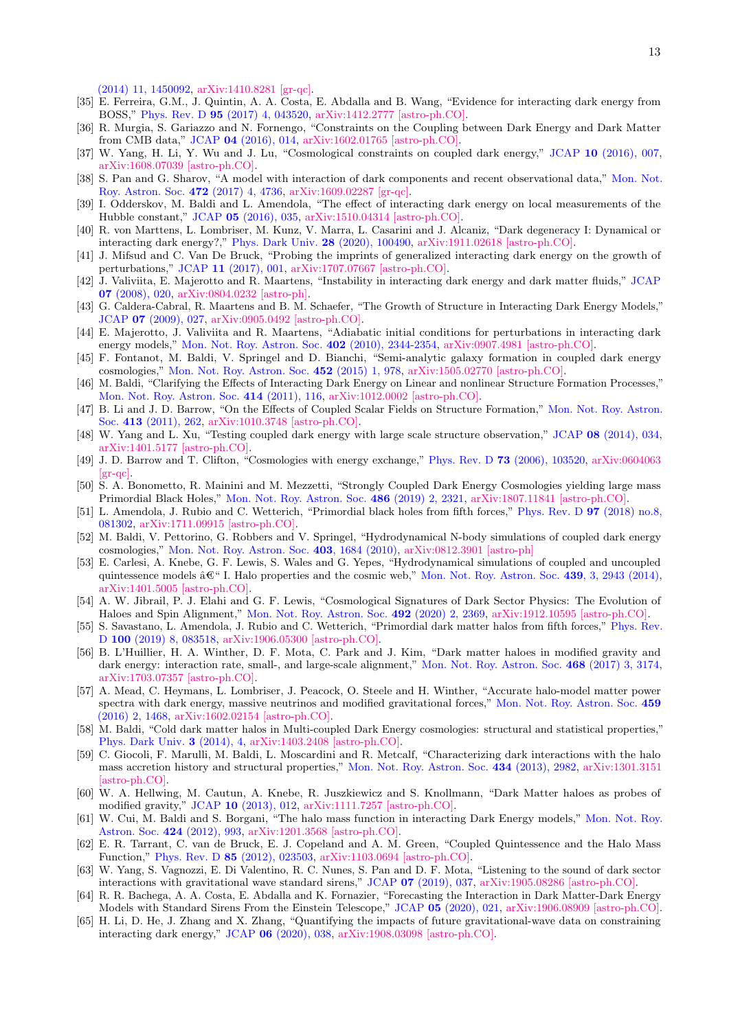[\(2014\) 11, 1450092,](https://www.doi.org/10.1142/S0218271814500928) [arXiv:1410.8281 \[gr-qc\].](https://arxiv.org/abs/1410.8281)

- [35] E. Ferreira, G.M., J. Quintin, A. A. Costa, E. Abdalla and B. Wang, "Evidence for interacting dark energy from BOSS," Phys. Rev. D 95 [\(2017\) 4, 043520,](https://www.doi.org/10.1103/PhysRevD.95.043520) [arXiv:1412.2777 \[astro-ph.CO\].](https://arxiv.org/abs/1412.2777)
- [36] R. Murgia, S. Gariazzo and N. Fornengo, "Constraints on the Coupling between Dark Energy and Dark Matter from CMB data," JCAP 04 [\(2016\), 014,](https://www.doi.org/10.1088/1475-7516/2016/04/014) [arXiv:1602.01765 \[astro-ph.CO\].](https://arxiv.org/abs/1602.01765)
- [37] W. Yang, H. Li, Y. Wu and J. Lu, "Cosmological constraints on coupled dark energy," JCAP 10 [\(2016\), 007,](https://www.doi.org/10.1088/1475-7516/2016/10/007) [arXiv:1608.07039 \[astro-ph.CO\].](https://arxiv.org/abs/1608.07039)
- [38] S. Pan and G. Sharov, "A model with interaction of dark components and recent observational data," [Mon. Not.](https://www.doi.org/10.1093/mnras/stx2278) [Roy. Astron. Soc.](https://www.doi.org/10.1093/mnras/stx2278) 472 (2017) 4, 4736, [arXiv:1609.02287 \[gr-qc\].](https://arxiv.org/abs/1609.02287)
- [39] I. Odderskov, M. Baldi and L. Amendola, "The effect of interacting dark energy on local measurements of the Hubble constant," JCAP 05 [\(2016\), 035,](https://www.doi.org/10.1088/1475-7516/2016/05/035) [arXiv:1510.04314 \[astro-ph.CO\].](https://arxiv.org/abs/1510.04314)
- <span id="page-12-0"></span>[40] R. von Marttens, L. Lombriser, M. Kunz, V. Marra, L. Casarini and J. Alcaniz, "Dark degeneracy I: Dynamical or interacting dark energy?," [Phys. Dark Univ.](https://www.doi.org/10.1016/j.dark.2020.100490) 28 (2020), 100490, [arXiv:1911.02618 \[astro-ph.CO\].](https://arxiv.org/abs/1911.02618)
- <span id="page-12-1"></span>[41] J. Mifsud and C. Van De Bruck, "Probing the imprints of generalized interacting dark energy on the growth of perturbations," JCAP 11 [\(2017\), 001,](https://www.doi.org/10.1088/1475-7516/2017/11/001) [arXiv:1707.07667 \[astro-ph.CO\].](https://arxiv.org/abs/1707.07667)
- [42] J. Valiviita, E. Majerotto and R. Maartens, "Instability in interacting dark energy and dark matter fluids," [JCAP](https://www.doi.org/10.1088/1475-7516/2008/07/020) 07 [\(2008\), 020,](https://www.doi.org/10.1088/1475-7516/2008/07/020) [arXiv:0804.0232 \[astro-ph\].](https://arxiv.org/abs/0804.0232)
- [43] G. Caldera-Cabral, R. Maartens and B. M. Schaefer, "The Growth of Structure in Interacting Dark Energy Models," JCAP 07 [\(2009\), 027,](https://www.doi.org/10.1088/1475-7516/2009/07/027) [arXiv:0905.0492 \[astro-ph.CO\].](https://arxiv.org/abs/0905.0492)
- [44] E. Majerotto, J. Valiviita and R. Maartens, "Adiabatic initial conditions for perturbations in interacting dark energy models," [Mon. Not. Roy. Astron. Soc.](https://www.doi.org/10.1111/j.1365-2966.2009.16140.x) 402 (2010), 2344-2354, [arXiv:0907.4981 \[astro-ph.CO\].](https://arxiv.org/abs/0907.4981)
- [45] F. Fontanot, M. Baldi, V. Springel and D. Bianchi, "Semi-analytic galaxy formation in coupled dark energy cosmologies," [Mon. Not. Roy. Astron. Soc.](https://www.doi.org/10.1093/mnras/stv1345) 452 (2015) 1, 978, [arXiv:1505.02770 \[astro-ph.CO\].](https://arxiv.org/abs/1505.02770)
- [46] M. Baldi, "Clarifying the Effects of Interacting Dark Energy on Linear and nonlinear Structure Formation Processes," [Mon. Not. Roy. Astron. Soc.](https://www.doi.org/10.1111/j.1365-2966.2011.18263.x) 414 (2011), 116, [arXiv:1012.0002 \[astro-ph.CO\].](https://arxiv.org/abs/1012.0002)
- [47] B. Li and J. D. Barrow, "On the Effects of Coupled Scalar Fields on Structure Formation," [Mon. Not. Roy. Astron.](https://www.doi.org/10.1111/j.1365-2966.2010.18130.x) Soc. 413 [\(2011\), 262,](https://www.doi.org/10.1111/j.1365-2966.2010.18130.x) [arXiv:1010.3748 \[astro-ph.CO\].](https://arxiv.org/abs/1010.3748)
- <span id="page-12-2"></span>[48] W. Yang and L. Xu, "Testing coupled dark energy with large scale structure observation," JCAP 08 [\(2014\), 034,](https://www.doi.org/10.1088/1475-7516/2014/08/034) [arXiv:1401.5177 \[astro-ph.CO\].](https://arxiv.org/abs/1401.5177)
- <span id="page-12-3"></span>[49] J. D. Barrow and T. Clifton, "Cosmologies with energy exchange," Phys. Rev. D 73 [\(2006\), 103520,](https://www.doi.org/10.1103/PhysRevD.73.103520) [arXiv:0604063](https://arxiv.org/abs/gr-qc/0604063) [\[gr-qc\].](https://arxiv.org/abs/gr-qc/0604063)
- [50] S. A. Bonometto, R. Mainini and M. Mezzetti, "Strongly Coupled Dark Energy Cosmologies yielding large mass Primordial Black Holes," [Mon. Not. Roy. Astron. Soc.](https://www.doi.org/10.1093/mnras/stz846) 486 (2019) 2, 2321, [arXiv:1807.11841 \[astro-ph.CO\].](https://arxiv.org/abs/1807.11841)
- <span id="page-12-4"></span>[51] L. Amendola, J. Rubio and C. Wetterich, "Primordial black holes from fifth forces," [Phys. Rev. D](https://www.doi.org/10.1103/PhysRevD.97.081302) 97 (2018) no.8, [081302,](https://www.doi.org/10.1103/PhysRevD.97.081302) [arXiv:1711.09915 \[astro-ph.CO\].](https://arxiv.org/abs/1711.09915)
- <span id="page-12-5"></span>[52] M. Baldi, V. Pettorino, G. Robbers and V. Springel, "Hydrodynamical N-body simulations of coupled dark energy cosmologies," [Mon. Not. Roy. Astron. Soc.](https://www.doi.org/10.1111/j.1365-2966.2009.15987.x) 403, 1684 (2010), [arXiv:0812.3901 \[astro-ph\]](http://arxiv.org/abs/arXiv:0812.3901)
- [53] E. Carlesi, A. Knebe, G. F. Lewis, S. Wales and G. Yepes, "Hydrodynamical simulations of coupled and uncoupled quintessence models  $\hat{\mathbf{a}}\mathbf{\mathbf{\mathfrak{C}}}$ " I. Halo properties and the cosmic web," [Mon. Not. Roy. Astron. Soc.](https://academic.oup.com/mnras/article/439/3/2943/1105663) 439, 3, 2943 (2014), [arXiv:1401.5005 \[astro-ph.CO\].](http://arxiv.org/abs/arXiv:1401.5005)
- [54] A. W. Jibrail, P. J. Elahi and G. F. Lewis, "Cosmological Signatures of Dark Sector Physics: The Evolution of Haloes and Spin Alignment," [Mon. Not. Roy. Astron. Soc.](https://www.doi.org/10.1093/mnras/stz3606) 492 (2020) 2, 2369, [arXiv:1912.10595 \[astro-ph.CO\].](https://arxiv.org/abs/1912.10595)
- [55] S. Savastano, L. Amendola, J. Rubio and C. Wetterich, "Primordial dark matter halos from fifth forces," [Phys. Rev.](https://www.doi.org/10.1103/PhysRevD.100.083518) D 100 [\(2019\) 8, 083518,](https://www.doi.org/10.1103/PhysRevD.100.083518) [arXiv:1906.05300 \[astro-ph.CO\].](https://arxiv.org/abs/1906.05300)
- [56] B. L'Huillier, H. A. Winther, D. F. Mota, C. Park and J. Kim, "Dark matter haloes in modified gravity and dark energy: interaction rate, small-, and large-scale alignment," [Mon. Not. Roy. Astron. Soc.](https://www.doi.org/10.1093/mnras/stx700) 468 (2017) 3, 3174, [arXiv:1703.07357 \[astro-ph.CO\].](https://arxiv.org/abs/1703.07357)
- [57] A. Mead, C. Heymans, L. Lombriser, J. Peacock, O. Steele and H. Winther, "Accurate halo-model matter power spectra with dark energy, massive neutrinos and modified gravitational forces," [Mon. Not. Roy. Astron. Soc.](https://www.doi.org/10.1093/mnras/stw681) 459 [\(2016\) 2, 1468,](https://www.doi.org/10.1093/mnras/stw681) [arXiv:1602.02154 \[astro-ph.CO\].](https://arxiv.org/abs/1602.02154 )
- [58] M. Baldi, "Cold dark matter halos in Multi-coupled Dark Energy cosmologies: structural and statistical properties," [Phys. Dark Univ.](https://www.doi.org/10.1016/j.dark.2014.03.001) 3 (2014), 4, [arXiv:1403.2408 \[astro-ph.CO\].](https://arxiv.org/abs/1403.2408)
- [59] C. Giocoli, F. Marulli, M. Baldi, L. Moscardini and R. Metcalf, "Characterizing dark interactions with the halo mass accretion history and structural properties," [Mon. Not. Roy. Astron. Soc.](https://www.doi.org/10.1093/mnras/stt1218) 434 (2013), 2982, [arXiv:1301.3151](https://arxiv.org/abs/1301.3151) [\[astro-ph.CO\].](https://arxiv.org/abs/1301.3151)
- [60] W. A. Hellwing, M. Cautun, A. Knebe, R. Juszkiewicz and S. Knollmann, "Dark Matter haloes as probes of modified gravity," JCAP 10 [\(2013\), 012,](https://www.doi.org/10.1088/1475-7516/2013/10/012) [arXiv:1111.7257 \[astro-ph.CO\].](https://arxiv.org/abs/1111.7257)
- [61] W. Cui, M. Baldi and S. Borgani, "The halo mass function in interacting Dark Energy models," [Mon. Not. Roy.](https://www.doi.org/10.1111/j.1365-2966.2012.21267.x) [Astron. Soc.](https://www.doi.org/10.1111/j.1365-2966.2012.21267.x) 424 (2012), 993, [arXiv:1201.3568 \[astro-ph.CO\].](https://arxiv.org/abs/1201.3568)
- <span id="page-12-6"></span>[62] E. R. Tarrant, C. van de Bruck, E. J. Copeland and A. M. Green, "Coupled Quintessence and the Halo Mass Function," Phys. Rev. D 85 [\(2012\), 023503,](https://www.doi.org/10.1103/PhysRevD.85.023503) [arXiv:1103.0694 \[astro-ph.CO\].](https://arxiv.org/abs/1103.0694)
- <span id="page-12-7"></span>[63] W. Yang, S. Vagnozzi, E. Di Valentino, R. C. Nunes, S. Pan and D. F. Mota, "Listening to the sound of dark sector interactions with gravitational wave standard sirens," JCAP 07 [\(2019\), 037,](https://www.doi.org/10.1088/1475-7516/2019/07/037) [arXiv:1905.08286 \[astro-ph.CO\].](https://arxiv.org/abs/1905.08286)
- [64] R. R. Bachega, A. A. Costa, E. Abdalla and K. Fornazier, "Forecasting the Interaction in Dark Matter-Dark Energy Models with Standard Sirens From the Einstein Telescope," JCAP 05 [\(2020\), 021,](https://iopscience.iop.org/article/10.1088/1475-7516/2020/05/021) [arXiv:1906.08909 \[astro-ph.CO\].](https://arxiv.org/abs/1906.08909)
- [65] H. Li, D. He, J. Zhang and X. Zhang, "Quantifying the impacts of future gravitational-wave data on constraining interacting dark energy," JCAP 06 [\(2020\), 038,](https://iopscience.iop.org/article/10.1088/1475-7516/2020/06/038) [arXiv:1908.03098 \[astro-ph.CO\].](https://arxiv.org/abs/1908.03098)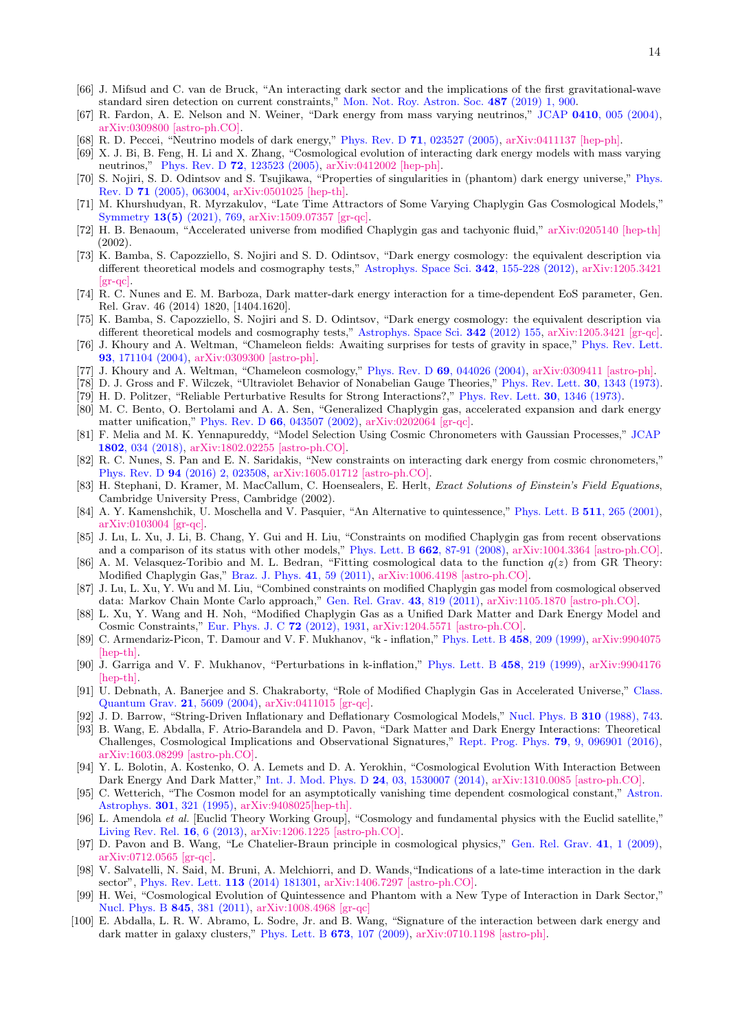- <span id="page-13-0"></span>[66] J. Mifsud and C. van de Bruck, "An interacting dark sector and the implications of the first gravitational-wave standard siren detection on current constraints," [Mon. Not. Roy. Astron. Soc.](https://www.doi.org/10.1093/mnras/stz1293) 487 (2019) 1, 900.
- <span id="page-13-1"></span>[67] R. Fardon, A. E. Nelson and N. Weiner, "Dark energy from mass varying neutrinos," JCAP 0410[, 005 \(2004\),](https://www.doi.org/10.1088/1475-7516/2004/10/005) [arXiv:0309800 \[astro-ph.CO\].](https://arxiv.org/abs/astro-ph/0309800)
- [68] R. D. Peccei, "Neutrino models of dark energy," Phys. Rev. D 71[, 023527 \(2005\),](https://www.doi.org/10.1103/PhysRevD.71.023527) [arXiv:0411137 \[hep-ph\].](http://arxiv.org/abs/hep-ph/0411137)
- <span id="page-13-2"></span>[69] X. J. Bi, B. Feng, H. Li and X. Zhang, "Cosmological evolution of interacting dark energy models with mass varying neutrinos," Phys. Rev. D 72[, 123523 \(2005\),](https://www.doi.org/10.1103/PhysRevD.72.123523) [arXiv:0412002 \[hep-ph\].](https://arxiv.org/abs/hep-ph/0412002)
- <span id="page-13-3"></span>[70] S. Nojiri, S. D. Odintsov and S. Tsujikawa, "Properties of singularities in (phantom) dark energy universe," [Phys.](https://www.doi.org/10.1103/PhysRevD.71.063004) Rev. D 71 [\(2005\), 063004,](https://www.doi.org/10.1103/PhysRevD.71.063004) [arXiv:0501025 \[hep-th\].](https://arxiv.org/abs/hep-th/0501025)
- <span id="page-13-4"></span>[71] M. Khurshudyan, R. Myrzakulov, "Late Time Attractors of Some Varying Chaplygin Gas Cosmological Models," Symmetry 13(5) [\(2021\), 769,](https://www.mdpi.com/2073-8994/13/5/769) [arXiv:1509.07357 \[gr-qc\].](https://arxiv.org/abs/1509.07357)
- <span id="page-13-5"></span>[72] H. B. Benaoum, "Accelerated universe from modified Chaplygin gas and tachyonic fluid," [arXiv:0205140 \[hep-th\]](https://arxiv.org/abs/hep-th/0205140) (2002).
- <span id="page-13-6"></span>[73] K. Bamba, S. Capozziello, S. Nojiri and S. D. Odintsov, "Dark energy cosmology: the equivalent description via different theoretical models and cosmography tests," [Astrophys. Space Sci.](https://www.doi.org/10.1007/s10509-012-1181-8) 342, 155-228 (2012), [arXiv:1205.3421](https://arxiv.org/abs/1205.3421)  $\left[\text{gr-qc}\right]$ .
- <span id="page-13-7"></span>[74] R. C. Nunes and E. M. Barboza, Dark matter-dark energy interaction for a time-dependent EoS parameter, Gen. Rel. Grav. 46 (2014) 1820, [1404.1620].
- <span id="page-13-8"></span>[75] K. Bamba, S. Capozziello, S. Nojiri and S. D. Odintsov, "Dark energy cosmology: the equivalent description via different theoretical models and cosmography tests," [Astrophys. Space Sci.](doi:10.1007/s10509-012-1181-8) 342 (2012) 155, [arXiv:1205.3421 \[gr-qc\].](1205.3421)
- <span id="page-13-9"></span>[76] J. Khoury and A. Weltman, "Chameleon fields: Awaiting surprises for tests of gravity in space," [Phys. Rev. Lett.](https://www.doi.org/10.1103/PhysRevLett.93.171104) 93[, 171104 \(2004\),](https://www.doi.org/10.1103/PhysRevLett.93.171104) [arXiv:0309300 \[astro-ph\].](https://arxiv.org/abs/astro-ph/0309300)
- <span id="page-13-10"></span>[77] J. Khoury and A. Weltman, "Chameleon cosmology," Phys. Rev. D 69[, 044026 \(2004\),](https://www.doi.org/10.1103/PhysRevD.69.044026) [arXiv:0309411 \[astro-ph\].](https://arxiv.org/abs/astro-ph/0309411)
- <span id="page-13-11"></span>[78] D. J. Gross and F. Wilczek, "Ultraviolet Behavior of Nonabelian Gauge Theories," [Phys. Rev. Lett.](https://www.doi.org/10.1103/PhysRevLett.30.1343) 30, 1343 (1973).
- <span id="page-13-12"></span>[79] H. D. Politzer, "Reliable Perturbative Results for Strong Interactions?," [Phys. Rev. Lett.](https://www.doi.org/10.1103/PhysRevLett.30.1346) 30, 1346 (1973).
- <span id="page-13-13"></span>[80] M. C. Bento, O. Bertolami and A. A. Sen, "Generalized Chaplygin gas, accelerated expansion and dark energy matter unification," Phys. Rev. D 66[, 043507 \(2002\),](https://www.doi.org/10.1103/PhysRevD.66.043507) [arXiv:0202064 \[gr-qc\].](https://arxiv.org/abs/gr-qc/0202064)
- <span id="page-13-14"></span>[81] F. Melia and M. K. Yennapureddy, "Model Selection Using Cosmic Chronometers with Gaussian Processes," [JCAP](https://www.doi.org/10.1088/1475-7516/2018/02/034) 1802[, 034 \(2018\),](https://www.doi.org/10.1088/1475-7516/2018/02/034) [arXiv:1802.02255 \[astro-ph.CO\].](http://arxiv.org/abs/arXiv:1802.02255)
- <span id="page-13-15"></span>[82] R. C. Nunes, S. Pan and E. N. Saridakis, "New constraints on interacting dark energy from cosmic chronometers," Phys. Rev. D 94 [\(2016\) 2, 023508,](https://www.doi.org/10.1103/PhysRevD.94.023508) [arXiv:1605.01712 \[astro-ph.CO\].](https://arxiv.org/abs/1605.01712)
- <span id="page-13-16"></span>[83] H. Stephani, D. Kramer, M. MacCallum, C. Hoensealers, E. Herlt, Exact Solutions of Einstein's Field Equations. Cambridge University Press, Cambridge (2002).
- <span id="page-13-17"></span>[84] A. Y. Kamenshchik, U. Moschella and V. Pasquier, "An Alternative to quintessence," [Phys. Lett. B](https://www.doi.org/10.1016/S0370-2693(01)00571-8) 511, 265 (2001), [arXiv:0103004 \[gr-qc\].](https://arxiv.org/abs/gr-qc/0103004)
- <span id="page-13-18"></span>[85] J. Lu, L. Xu, J. Li, B. Chang, Y. Gui and H. Liu, "Constraints on modified Chaplygin gas from recent observations and a comparison of its status with other models," Phys. Lett. B 662[, 87-91 \(2008\),](https://www.doi.org/10.1016/j.physletb.2008.03.005) [arXiv:1004.3364 \[astro-ph.CO\].](https://arxiv.org/abs/1004.3364)
- [86] A. M. Velasquez-Toribio and M. L. Bedran, "Fitting cosmological data to the function  $q(z)$  from GR Theory: Modified Chaplygin Gas," [Braz. J. Phys.](https://www.doi.org/10.1007/s13538-011-0012-7) 41, 59 (2011), [arXiv:1006.4198 \[astro-ph.CO\].](https://arxiv.org/abs/1006.4198)
- [87] J. Lu, L. Xu, Y. Wu and M. Liu, "Combined constraints on modified Chaplygin gas model from cosmological observed data: Markov Chain Monte Carlo approach," [Gen. Rel. Grav.](https://www.doi.org/10.1007/s10714-010-1103-4) 43, 819 (2011), [arXiv:1105.1870 \[astro-ph.CO\].](https://arxiv.org/abs/1105.1870)
- <span id="page-13-19"></span>[88] L. Xu, Y. Wang and H. Noh, "Modified Chaplygin Gas as a Unified Dark Matter and Dark Energy Model and Cosmic Constraints," [Eur. Phys. J. C](https://www.doi.org/10.1140/epjc/s10052-012-1931-3) 72 (2012), 1931, [arXiv:1204.5571 \[astro-ph.CO\].](https://arxiv.org/abs/1204.5571)
- <span id="page-13-20"></span>[89] C. Armendariz-Picon, T. Damour and V. F. Mukhanov, "k - inflation," [Phys. Lett. B](https://www.doi.org/10.1016/S0370-2693(99)00603-6) 458, 209 (1999), [arXiv:9904075](http://arxiv.org/abs/hep-th/9904075) [\[hep-th\].](http://arxiv.org/abs/hep-th/9904075)
- <span id="page-13-21"></span>[90] J. Garriga and V. F. Mukhanov, "Perturbations in k-inflation," [Phys. Lett. B](https://www.doi.org/10.1016/S0370-2693(99)00602-4) 458, 219 (1999), [arXiv:9904176](http://arxiv.org/abs/hep-th/9904176) [\[hep-th\].](http://arxiv.org/abs/hep-th/9904176)
- <span id="page-13-22"></span>[91] U. Debnath, A. Banerjee and S. Chakraborty, "Role of Modified Chaplygin Gas in Accelerated Universe," [Class.](https://iopscience.iop.org/article/10.1088/0264-9381/21/23/019) [Quantum Grav.](https://iopscience.iop.org/article/10.1088/0264-9381/21/23/019) 21, 5609 (2004), [arXiv:0411015 \[gr-qc\].](https://arxiv.org/abs/gr-qc/0411015)
- <span id="page-13-23"></span>[92] J. D. Barrow, "String-Driven Inflationary and Deflationary Cosmological Models," [Nucl. Phys. B](https://www.doi.org/10.1016/0550-3213(88)90101-0) 310 (1988), 743.
- <span id="page-13-24"></span>[93] B. Wang, E. Abdalla, F. Atrio-Barandela and D. Pavon, "Dark Matter and Dark Energy Interactions: Theoretical Challenges, Cosmological Implications and Observational Signatures," Rept. Prog. Phys. 79[, 9, 096901 \(2016\),](https://www.doi.org/10.1088/0034-4885/79/9/096901) [arXiv:1603.08299 \[astro-ph.CO\].](http://arxiv.org/abs/arXiv:1603.08299)
- <span id="page-13-25"></span>[94] Y. L. Bolotin, A. Kostenko, O. A. Lemets and D. A. Yerokhin, "Cosmological Evolution With Interaction Between Dark Energy And Dark Matter," [Int. J. Mod. Phys. D](https://www.doi.org/10.1142/S0218271815300074) 24, 03, 1530007 (2014), [arXiv:1310.0085 \[astro-ph.CO\].](http://arxiv.org/abs/arXiv:1310.0085)
- <span id="page-13-26"></span>[95] C. Wetterich, "The Cosmon model for an asymptotically vanishing time dependent cosmological constant," [Astron.](http://adsabs.harvard.edu/full/1995A``26A...301..321W) Astrophys. 301[, 321 \(1995\),](http://adsabs.harvard.edu/full/1995A``26A...301..321W) [arXiv:9408025\[hep-th\].](http://arxiv.org/abs/hep-th/9408025)
- <span id="page-13-27"></span>[96] L. Amendola et al. [Euclid Theory Working Group], "Cosmology and fundamental physics with the Euclid satellite," [Living Rev. Rel.](https://www.doi.org/10.12942/lrr-2013-6) 16, 6 (2013), [arXiv:1206.1225 \[astro-ph.CO\].](http://arxiv.org/abs/arXiv:1206.1225)
- <span id="page-13-28"></span>[97] D. Pavon and B. Wang, "Le Chatelier-Braun principle in cosmological physics," [Gen. Rel. Grav.](https://www.doi.org/10.1007/s10714-008-0656-y) 41, 1 (2009), [arXiv:0712.0565 \[gr-qc\].](https://arxiv.org/abs/0712.0565)
- <span id="page-13-29"></span>[98] V. Salvatelli, N. Said, M. Bruni, A. Melchiorri, and D. Wands,"Indications of a late-time interaction in the dark sector", [Phys. Rev. Lett.](https://journals.aps.org/prl/abstract/10.1103/PhysRevLett.113.181301) 113 (2014) 181301, [arXiv:1406.7297 \[astro-ph.CO\].](https://arxiv.org/abs/1406.7297)
- <span id="page-13-30"></span>[99] H. Wei, "Cosmological Evolution of Quintessence and Phantom with a New Type of Interaction in Dark Sector," [Nucl. Phys. B](https://www.doi.org/10.1016/j.nuclphysb.2010.12.010) 845, 381 (2011), [arXiv:1008.4968 \[gr-qc\]](http://arxiv.org/abs/arXiv:1008.4968)
- [100] E. Abdalla, L. R. W. Abramo, L. Sodre, Jr. and B. Wang, "Signature of the interaction between dark energy and dark matter in galaxy clusters," [Phys. Lett. B](https://www.doi.org/10.1016/j.physletb.2009.02.008) 673, 107 (2009), [arXiv:0710.1198 \[astro-ph\].](http://arxiv.org/abs/arXiv:0710.1198)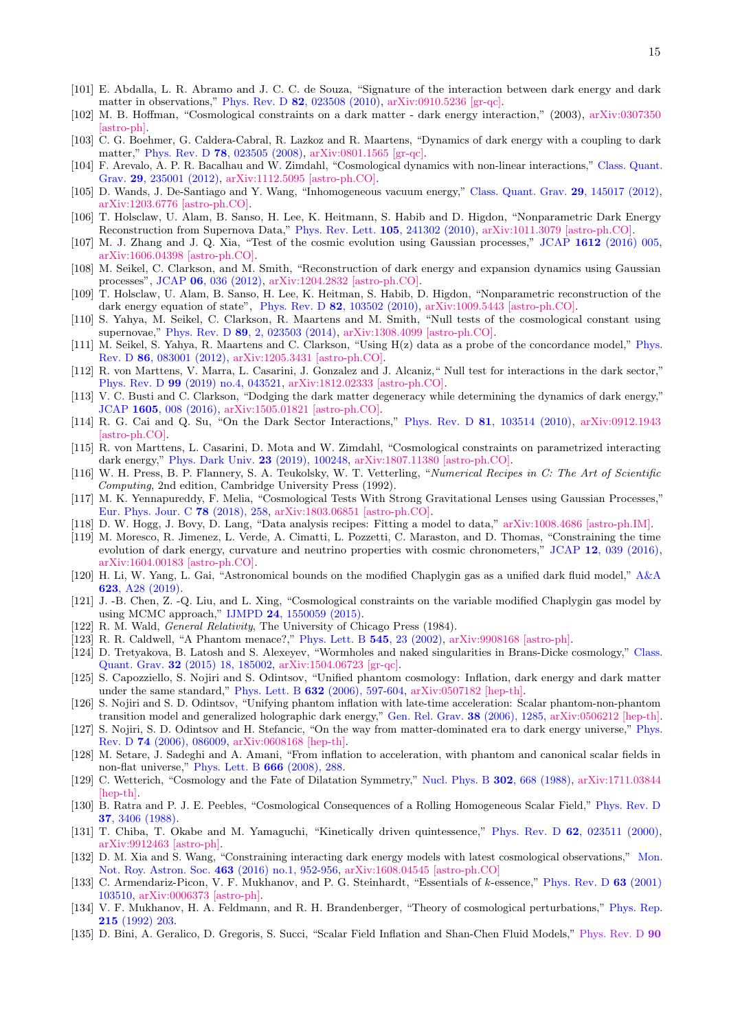- <span id="page-14-0"></span>[101] E. Abdalla, L. R. Abramo and J. C. C. de Souza, "Signature of the interaction between dark energy and dark matter in observations," Phys. Rev. D 82[, 023508 \(2010\),](https://www.doi.org/10.1103/PhysRevD.82.023508) [arXiv:0910.5236 \[gr-qc\].](http://arxiv.org/abs/arXiv:0910.5236)
- <span id="page-14-1"></span>[102] M. B. Hoffman, "Cosmological constraints on a dark matter - dark energy interaction," (2003), [arXiv:0307350](http://arxiv.org/abs/astro-ph/0307350) [\[astro-ph\].](http://arxiv.org/abs/astro-ph/0307350)
- <span id="page-14-2"></span>[103] C. G. Boehmer, G. Caldera-Cabral, R. Lazkoz and R. Maartens, "Dynamics of dark energy with a coupling to dark matter," Phys. Rev. D 78[, 023505 \(2008\),](https://www.doi.org/10.1103/PhysRevD.78.023505) [arXiv:0801.1565 \[gr-qc\].](http://arxiv.org/abs/arXiv:0801.1565)
- <span id="page-14-4"></span>[104] F. Arevalo, A. P. R. Bacalhau and W. Zimdahl, "Cosmological dynamics with non-linear interactions," [Class. Quant.](https://www.doi.org/10.1088/0264-9381/29/23/235001) Grav. 29[, 235001 \(2012\),](https://www.doi.org/10.1088/0264-9381/29/23/235001) [arXiv:1112.5095 \[astro-ph.CO\].](https://arxiv.org/abs/1112.5095)
- <span id="page-14-5"></span>[105] D. Wands, J. De-Santiago and Y. Wang, "Inhomogeneous vacuum energy," [Class. Quant. Grav.](https://www.doi.org/10.1088/0264-9381/29/14/145017) 29, 145017 (2012), [arXiv:1203.6776 \[astro-ph.CO\].](https://arxiv.org/abs/1203.6776)
- <span id="page-14-6"></span>[106] T. Holsclaw, U. Alam, B. Sanso, H. Lee, K. Heitmann, S. Habib and D. Higdon, "Nonparametric Dark Energy Reconstruction from Supernova Data," [Phys. Rev. Lett.](https://www.doi.org/10.1103/PhysRevLett.105.241302) 105, 241302 (2010), [arXiv:1011.3079 \[astro-ph.CO\].](http://arxiv.org/abs/arXiv:1011.3079)
- <span id="page-14-3"></span>[107] M. J. Zhang and J. Q. Xia, "Test of the cosmic evolution using Gaussian processes," JCAP 1612 [\(2016\) 005,](https://www.doi.org/10.1088/1475-7516/2016/12/005) [arXiv:1606.04398 \[astro-ph.CO\].](http://arxiv.org/abs/arXiv:1606.04398)
- <span id="page-14-7"></span>[108] M. Seikel, C. Clarkson, and M. Smith, "Reconstruction of dark energy and expansion dynamics using Gaussian processes", JCAP 06[, 036 \(2012\),](https://iopscience.iop.org/article/10.1088/1475-7516/2012/06/036) [arXiv:1204.2832 \[astro-ph.CO\].](https://arxiv.org/abs/1204.2832)
- <span id="page-14-8"></span>[109] T. Holsclaw, U. Alam, B. Sanso, H. Lee, K. Heitman, S. Habib, D. Higdon, "Nonparametric reconstruction of the dark energy equation of state", Phys. Rev. D  $82$ [, 103502 \(2010\),](https://journals.aps.org/prd/abstract/10.1103/PhysRevD.82.103502) [arXiv:1009.5443 \[astro-ph.CO\].](https://arxiv.org/abs/1009.5443)
- [110] S. Yahya, M. Seikel, C. Clarkson, R. Maartens and M. Smith, "Null tests of the cosmological constant using supernovae," Phys. Rev. D 89[, 2, 023503 \(2014\),](https://www.doi.org/10.1103/PhysRevD.89.023503) [arXiv:1308.4099 \[astro-ph.CO\].](http://arxiv.org/abs/arXiv:1308.4099)
- <span id="page-14-13"></span>[111] M. Seikel, S. Yahya, R. Maartens and C. Clarkson, "Using H(z) data as a probe of the concordance model," [Phys.](https://www.doi.org/10.1103/PhysRevD.86.083001) Rev. D 86[, 083001 \(2012\),](https://www.doi.org/10.1103/PhysRevD.86.083001) [arXiv:1205.3431 \[astro-ph.CO\].](http://arxiv.org/abs/1205.3431)
- <span id="page-14-9"></span>[112] R. von Marttens, V. Marra, L. Casarini, J. Gonzalez and J. Alcaniz," Null test for interactions in the dark sector," Phys. Rev. D 99 [\(2019\) no.4, 043521,](https://www.doi.org/10.1103/PhysRevD.99.043521) [arXiv:1812.02333 \[astro-ph.CO\].](http://arxiv.org/abs/1812.02333)
- <span id="page-14-10"></span>[113] V. C. Busti and C. Clarkson, "Dodging the dark matter degeneracy while determining the dynamics of dark energy," JCAP 1605[, 008 \(2016\),](https://www.doi.org/10.1088/1475-7516/2016/05/008) [arXiv:1505.01821 \[astro-ph.CO\].](http://arxiv.org/abs/arXiv:1505.01821)
- [114] R. G. Cai and Q. Su, "On the Dark Sector Interactions," Phys. Rev. D 81[, 103514 \(2010\),](https://www.doi.org/10.1103/PhysRevD.81.103514) [arXiv:0912.1943](http://arxiv.org/abs/arXiv:0912.1943) [\[astro-ph.CO\].](http://arxiv.org/abs/arXiv:0912.1943)
- <span id="page-14-11"></span>[115] R. von Marttens, L. Casarini, D. Mota and W. Zimdahl, "Cosmological constraints on parametrized interacting dark energy," [Phys. Dark Univ.](https://www.doi.org/10.1016/j.dark.2018.10.007) 23 (2019), 100248, [arXiv:1807.11380 \[astro-ph.CO\].](http://arxiv.org/abs/1807.11380)
- <span id="page-14-12"></span>[116] W. H. Press, B. P. Flannery, S. A. Teukolsky, W. T. Vetterling, "Numerical Recipes in C: The Art of Scientific Computing, 2nd edition, Cambridge University Press (1992).
- <span id="page-14-14"></span>[117] M. K. Yennapureddy, F. Melia, "Cosmological Tests With Strong Gravitational Lenses using Gaussian Processes," [Eur. Phys. Jour. C](https://link.springer.com/article/10.1140/epjc/s10052-018-5746-8) 78 (2018), 258, [arXiv:1803.06851 \[astro-ph.CO\].](https://arxiv.org/abs/1803.06851)
- <span id="page-14-15"></span>[118] D. W. Hogg, J. Bovy, D. Lang, "Data analysis recipes: Fitting a model to data," [arXiv:1008.4686 \[astro-ph.IM\].](https://arxiv.org/abs/1008.4686)
- <span id="page-14-16"></span>[119] M. Moresco, R. Jimenez, L. Verde, A. Cimatti, L. Pozzetti, C. Maraston, and D. Thomas, "Constraining the time evolution of dark energy, curvature and neutrino properties with cosmic chronometers," JCAP 12[, 039 \(2016\),](https://iopscience.iop.org/article/10.1088/1475-7516/2016/12/039) [arXiv:1604.00183 \[astro-ph.CO\].](https://arxiv.org/abs/1604.00183)
- <span id="page-14-17"></span>[120] H. Li, W. Yang, L. Gai, "Astronomical bounds on the modified Chaplygin gas as a unified dark fluid model," [A&A](https://www.aanda.org/articles/aa/abs/2019/03/aa33836-18/aa33836-18.html) 623[, A28 \(2019\).](https://www.aanda.org/articles/aa/abs/2019/03/aa33836-18/aa33836-18.html)
- <span id="page-14-18"></span>[121] J. -B. Chen, Z. -Q. Liu, and L. Xing, "Cosmological constraints on the variable modified Chaplygin gas model by using MCMC approach," IJMPD 24[, 1550059 \(2015\).](https://www.worldscientific.com/doi/abs/10.1142/S0218271815500595)
- <span id="page-14-19"></span>[122] R. M. Wald, General Relativity, The University of Chicago Press (1984).
- <span id="page-14-20"></span>[123] R. R. Caldwell, "A Phantom menace?," [Phys. Lett. B](https://www.doi.org/10.1016/S0370-2693(02)02589-3) 545, 23 (2002), [arXiv:9908168 \[astro-ph\].](https://arxiv.org/abs/astro-ph/9908168)
- [124] D. Tretyakova, B. Latosh and S. Alexeyev, "Wormholes and naked singularities in Brans-Dicke cosmology," [Class.](https://www.doi.org/10.1088/0264-9381/32/18/185002) Quant. Grav. 32 [\(2015\) 18, 185002,](https://www.doi.org/10.1088/0264-9381/32/18/185002) [arXiv:1504.06723 \[gr-qc\].](https://arxiv.org/abs/1504.06723)
- [125] S. Capozziello, S. Nojiri and S. Odintsov, "Unified phantom cosmology: Inflation, dark energy and dark matter under the same standard," Phys. Lett. B 632 [\(2006\), 597-604,](https://www.doi.org/10.1016/j.physletb.2005.11.012) [arXiv:0507182 \[hep-th\].](https://arxiv.org/abs/hep-th/0507182)
- [126] S. Nojiri and S. D. Odintsov, "Unifying phantom inflation with late-time acceleration: Scalar phantom-non-phantom transition model and generalized holographic dark energy," [Gen. Rel. Grav.](https://www.doi.org/10.1007/s10714-006-0301-6) 38 (2006), 1285, [arXiv:0506212 \[hep-th\].](https://arxiv.org/abs/hep-th/0506212)
- [127] S. Nojiri, S. D. Odintsov and H. Stefancic, "On the way from matter-dominated era to dark energy universe," [Phys.](https://www.doi.org/10.1103/PhysRevD.74.086009) Rev. D 74 [\(2006\), 086009,](https://www.doi.org/10.1103/PhysRevD.74.086009) [arXiv:0608168 \[hep-th\].](https://arxiv.org/abs/hep-th/0608168)
- <span id="page-14-21"></span>[128] M. Setare, J. Sadeghi and A. Amani, "From inflation to acceleration, with phantom and canonical scalar fields in non-flat universe," [Phys. Lett. B](https://www.doi.org/10.1016/j.physletb.2008.07.087) 666 (2008), 288.
- <span id="page-14-22"></span>[129] C. Wetterich, "Cosmology and the Fate of Dilatation Symmetry," [Nucl. Phys. B](https://www.doi.org/10.1016/0550-3213(88)90193-9) 302, 668 (1988), [arXiv:1711.03844](http://arxiv.org/abs/arXiv:1711.03844) [\[hep-th\].](http://arxiv.org/abs/arXiv:1711.03844)
- [130] B. Ratra and P. J. E. Peebles, "Cosmological Consequences of a Rolling Homogeneous Scalar Field," [Phys. Rev. D](https://www.doi.org/10.1103/PhysRevD.37.3406) 37[, 3406 \(1988\).](https://www.doi.org/10.1103/PhysRevD.37.3406)
- <span id="page-14-23"></span>[131] T. Chiba, T. Okabe and M. Yamaguchi, "Kinetically driven quintessence," Phys. Rev. D 62[, 023511 \(2000\),](https://www.doi.org/10.1103/PhysRevD.62.023511) [arXiv:9912463 \[astro-ph\].](http://arxiv.org/abs/astro-ph/9912463)
- <span id="page-14-24"></span>[132] D. M. Xia and S. Wang, "Constraining interacting dark energy models with latest cosmological observations," [Mon.](https://www.doi.org/10.1093/mnras/stw2073) [Not. Roy. Astron. Soc.](https://www.doi.org/10.1093/mnras/stw2073) 463 (2016) no.1, 952-956, [arXiv:1608.04545 \[astro-ph.CO\]](http://arxiv.org/abs/1608.04545)
- <span id="page-14-25"></span>[133] C. Armendariz-Picon, V. F. Mukhanov, and P. G. Steinhardt, "Essentials of k-essence," [Phys. Rev. D](https://journals.aps.org/prd/abstract/10.1103/PhysRevD.63.103510) 63 (2001) [103510,](https://journals.aps.org/prd/abstract/10.1103/PhysRevD.63.103510) [arXiv:0006373 \[astro-ph\].](https://arxiv.org/abs/astro-ph/0006373)
- <span id="page-14-26"></span>[134] V. F. Mukhanov, H. A. Feldmann, and R. H. Brandenberger, "Theory of cosmological perturbations," [Phys. Rep.](https://www.sciencedirect.com/science/article/abs/pii/037015739290044Z?via%3Dihub) 215 [\(1992\) 203.](https://www.sciencedirect.com/science/article/abs/pii/037015739290044Z?via%3Dihub)
- <span id="page-14-27"></span>[135] D. Bini, A. Geralico, D. Gregoris, S. Succi, "Scalar Field Inflation and Shan-Chen Fluid Models," [Phys. Rev. D](https://journals.aps.org/prd/abstract/10.1103/PhysRevD.90.044021) 90